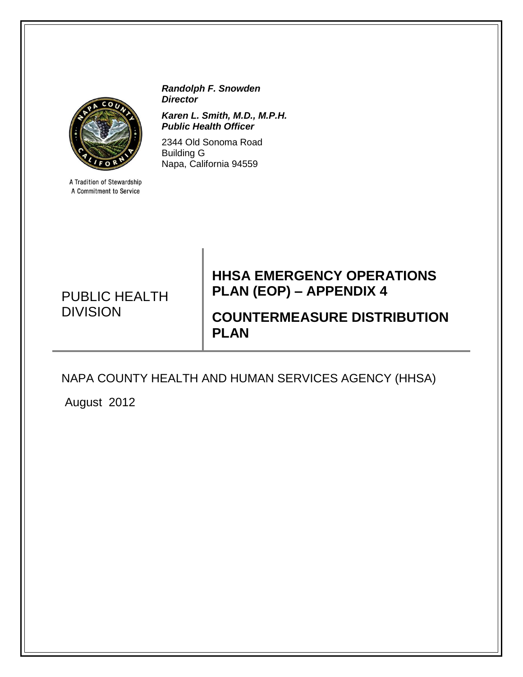

A Tradition of Stewardship A Commitment to Service

#### *Randolph F. Snowden Director*

*Karen L. Smith, M.D., M.P.H. Public Health Officer*

2344 Old Sonoma Road Building G Napa, California 94559

# PUBLIC HEALTH DIVISION

# **HHSA EMERGENCY OPERATIONS PLAN (EOP) – APPENDIX 4**

# **COUNTERMEASURE DISTRIBUTION PLAN**

### NAPA COUNTY HEALTH AND HUMAN SERVICES AGENCY (HHSA)

August 2012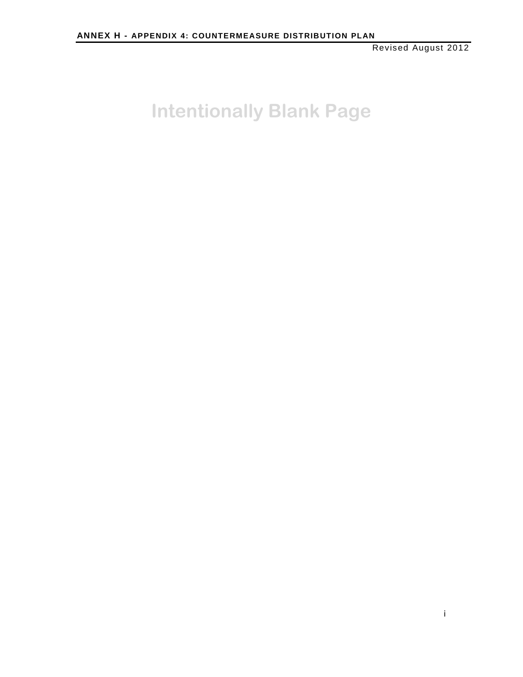**Intentionally Blank Page**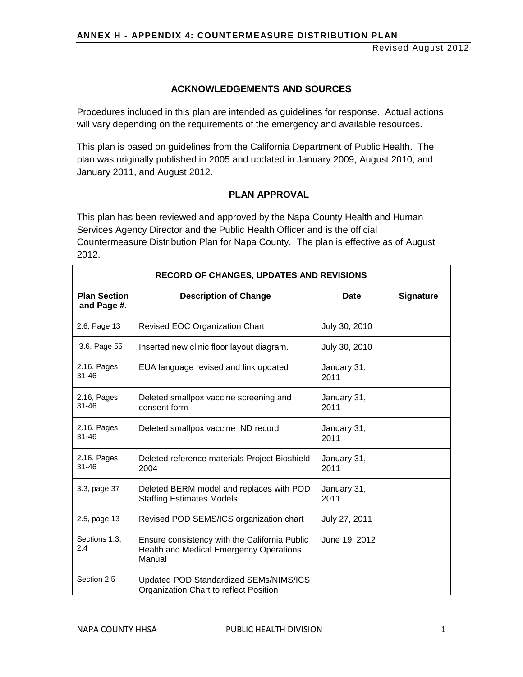#### **ACKNOWLEDGEMENTS AND SOURCES**

Procedures included in this plan are intended as guidelines for response. Actual actions will vary depending on the requirements of the emergency and available resources.

This plan is based on guidelines from the California Department of Public Health. The plan was originally published in 2005 and updated in January 2009, August 2010, and January 2011, and August 2012.

#### **PLAN APPROVAL**

This plan has been reviewed and approved by the Napa County Health and Human Services Agency Director and the Public Health Officer and is the official Countermeasure Distribution Plan for Napa County. The plan is effective as of August 2012.

| <b>RECORD OF CHANGES, UPDATES AND REVISIONS</b> |                                                                                                           |                     |                  |
|-------------------------------------------------|-----------------------------------------------------------------------------------------------------------|---------------------|------------------|
| <b>Plan Section</b><br>and Page #.              | <b>Description of Change</b>                                                                              | <b>Date</b>         | <b>Signature</b> |
| 2.6, Page 13                                    | Revised EOC Organization Chart                                                                            | July 30, 2010       |                  |
| 3.6, Page 55                                    | Inserted new clinic floor layout diagram.                                                                 | July 30, 2010       |                  |
| $2.16$ , Pages<br>$31 - 46$                     | EUA language revised and link updated                                                                     | January 31,<br>2011 |                  |
| $2.16$ , Pages<br>$31 - 46$                     | Deleted smallpox vaccine screening and<br>consent form                                                    | January 31,<br>2011 |                  |
| 2.16, Pages<br>$31 - 46$                        | Deleted smallpox vaccine IND record                                                                       | January 31,<br>2011 |                  |
| $2.16$ , Pages<br>$31 - 46$                     | Deleted reference materials-Project Bioshield<br>2004                                                     | January 31,<br>2011 |                  |
| 3.3, page 37                                    | Deleted BERM model and replaces with POD<br><b>Staffing Estimates Models</b>                              | January 31,<br>2011 |                  |
| 2.5, page 13                                    | Revised POD SEMS/ICS organization chart                                                                   | July 27, 2011       |                  |
| Sections 1.3,<br>2.4                            | Ensure consistency with the California Public<br><b>Health and Medical Emergency Operations</b><br>Manual | June 19, 2012       |                  |
| Section 2.5                                     | Updated POD Standardized SEMs/NIMS/ICS<br>Organization Chart to reflect Position                          |                     |                  |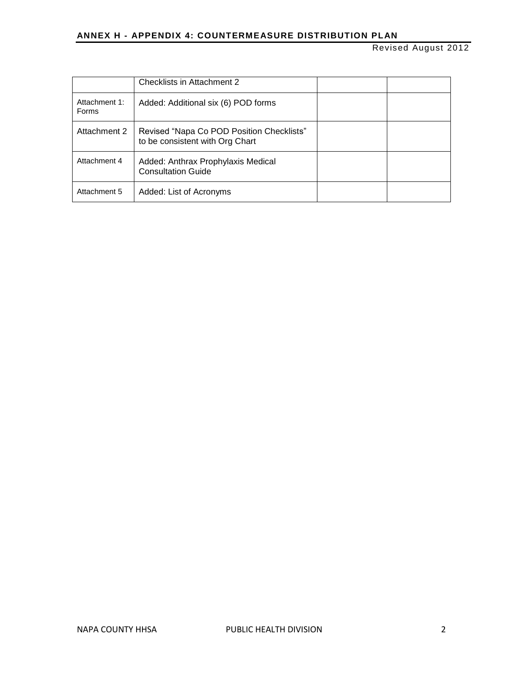#### **ANNEX H - APPENDIX 4: COUNTERMEASURE DISTRIBUTION PLAN**

|                        | Checklists in Attachment 2                                                   |  |
|------------------------|------------------------------------------------------------------------------|--|
| Attachment 1:<br>Forms | Added: Additional six (6) POD forms                                          |  |
| Attachment 2           | Revised "Napa Co POD Position Checklists"<br>to be consistent with Org Chart |  |
| Attachment 4           | Added: Anthrax Prophylaxis Medical<br><b>Consultation Guide</b>              |  |
| Attachment 5           | Added: List of Acronyms                                                      |  |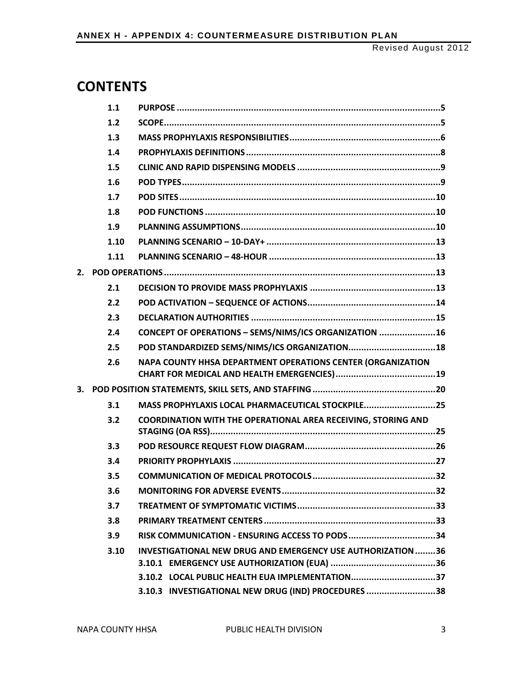# **CONTENTS**

|    | 1.1  |                                                                      |
|----|------|----------------------------------------------------------------------|
|    | 1.2  |                                                                      |
|    | 1.3  |                                                                      |
|    | 1.4  |                                                                      |
|    | 1.5  |                                                                      |
|    | 1.6  |                                                                      |
|    | 1.7  |                                                                      |
|    | 1.8  |                                                                      |
|    | 1.9  |                                                                      |
|    | 1.10 |                                                                      |
|    | 1.11 |                                                                      |
|    |      |                                                                      |
|    | 2.1  |                                                                      |
|    | 2.2  |                                                                      |
|    | 2.3  |                                                                      |
|    | 2.4  | CONCEPT OF OPERATIONS - SEMS/NIMS/ICS ORGANIZATION 16                |
|    | 2.5  | POD STANDARDIZED SEMS/NIMS/ICS ORGANIZATION18                        |
|    | 2.6  | NAPA COUNTY HHSA DEPARTMENT OPERATIONS CENTER (ORGANIZATION          |
| 3. |      |                                                                      |
|    | 3.1  | MASS PROPHYLAXIS LOCAL PHARMACEUTICAL STOCKPILE25                    |
|    | 3.2  | <b>COORDINATION WITH THE OPERATIONAL AREA RECEIVING, STORING AND</b> |
|    | 3.3  |                                                                      |
|    | 3.4  |                                                                      |
|    | 3.5  |                                                                      |
|    | 3.6  |                                                                      |
|    | 3.7  |                                                                      |
|    | 3.8  |                                                                      |
|    | 3.9  | RISK COMMUNICATION - ENSURING ACCESS TO PODS34                       |
|    | 3.10 | INVESTIGATIONAL NEW DRUG AND EMERGENCY USE AUTHORIZATION 36          |
|    |      |                                                                      |
|    |      | 3.10.2 LOCAL PUBLIC HEALTH EUA IMPLEMENTATION37                      |
|    |      | 3.10.3 INVESTIGATIONAL NEW DRUG (IND) PROCEDURES 38                  |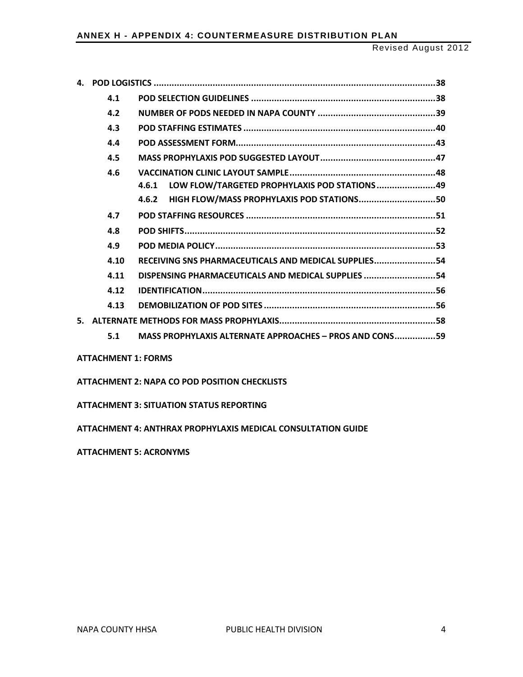|    | 4.1  |                                                         |
|----|------|---------------------------------------------------------|
|    | 4.2  |                                                         |
|    | 4.3  |                                                         |
|    | 4.4  |                                                         |
|    | 4.5  |                                                         |
|    | 4.6  |                                                         |
|    |      | LOW FLOW/TARGETED PROPHYLAXIS POD STATIONS 49<br>4.6.1  |
|    |      | 4.6.2                                                   |
|    | 4.7  |                                                         |
|    | 4.8  |                                                         |
|    | 4.9  |                                                         |
|    | 4.10 | RECEIVING SNS PHARMACEUTICALS AND MEDICAL SUPPLIES54    |
|    | 4.11 | DISPENSING PHARMACEUTICALS AND MEDICAL SUPPLIES 54      |
|    | 4.12 |                                                         |
|    | 4.13 |                                                         |
| 5. |      |                                                         |
|    | 5.1  | MASS PROPHYLAXIS ALTERNATE APPROACHES - PROS AND CONS59 |

#### **ATTACHMENT 1: FORMS**

#### **ATTACHMENT 2: NAPA CO POD POSITION CHECKLISTS**

#### **ATTACHMENT 3: SITUATION STATUS REPORTING**

#### **ATTACHMENT 4: ANTHRAX PROPHYLAXIS MEDICAL CONSULTATION GUIDE**

**ATTACHMENT 5: ACRONYMS**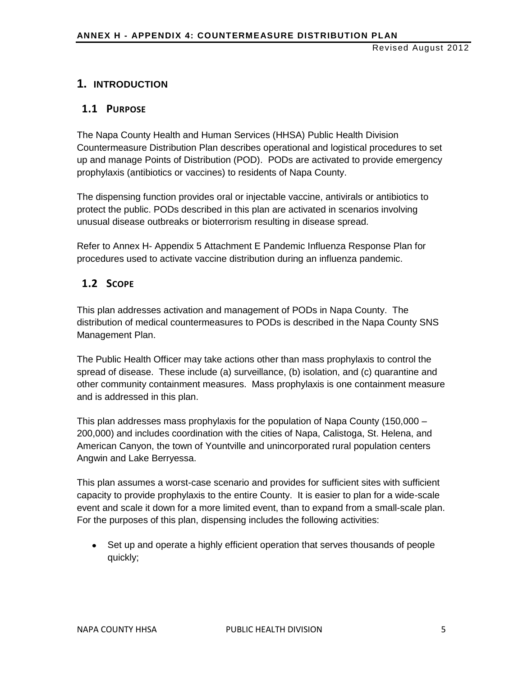#### **1. INTRODUCTION**

#### <span id="page-6-0"></span>**1.1 PURPOSE**

The Napa County Health and Human Services (HHSA) Public Health Division Countermeasure Distribution Plan describes operational and logistical procedures to set up and manage Points of Distribution (POD). PODs are activated to provide emergency prophylaxis (antibiotics or vaccines) to residents of Napa County.

The dispensing function provides oral or injectable vaccine, antivirals or antibiotics to protect the public. PODs described in this plan are activated in scenarios involving unusual disease outbreaks or bioterrorism resulting in disease spread.

Refer to Annex H- Appendix 5 Attachment E Pandemic Influenza Response Plan for procedures used to activate vaccine distribution during an influenza pandemic.

#### <span id="page-6-1"></span>**1.2 SCOPE**

This plan addresses activation and management of PODs in Napa County. The distribution of medical countermeasures to PODs is described in the Napa County SNS Management Plan.

The Public Health Officer may take actions other than mass prophylaxis to control the spread of disease. These include (a) surveillance, (b) isolation, and (c) quarantine and other community containment measures. Mass prophylaxis is one containment measure and is addressed in this plan.

This plan addresses mass prophylaxis for the population of Napa County (150,000 – 200,000) and includes coordination with the cities of Napa, Calistoga, St. Helena, and American Canyon, the town of Yountville and unincorporated rural population centers Angwin and Lake Berryessa.

This plan assumes a worst-case scenario and provides for sufficient sites with sufficient capacity to provide prophylaxis to the entire County. It is easier to plan for a wide-scale event and scale it down for a more limited event, than to expand from a small-scale plan. For the purposes of this plan, dispensing includes the following activities:

Set up and operate a highly efficient operation that serves thousands of people quickly;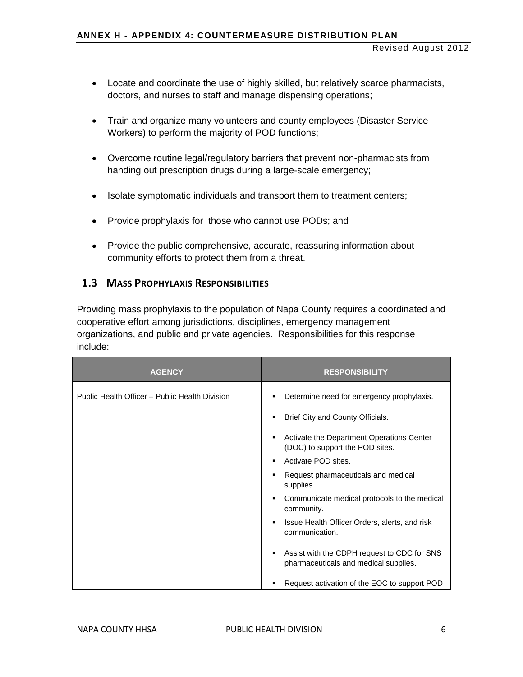- Locate and coordinate the use of highly skilled, but relatively scarce pharmacists, doctors, and nurses to staff and manage dispensing operations;
- Train and organize many volunteers and county employees (Disaster Service Workers) to perform the majority of POD functions;
- Overcome routine legal/regulatory barriers that prevent non-pharmacists from handing out prescription drugs during a large-scale emergency;
- Isolate symptomatic individuals and transport them to treatment centers;
- Provide prophylaxis for those who cannot use PODs; and
- Provide the public comprehensive, accurate, reassuring information about community efforts to protect them from a threat.

#### <span id="page-7-0"></span>**1.3 MASS PROPHYLAXIS RESPONSIBILITIES**

Providing mass prophylaxis to the population of Napa County requires a coordinated and cooperative effort among jurisdictions, disciplines, emergency management organizations, and public and private agencies. Responsibilities for this response include:

| <b>AGENCY</b>                                  | <b>RESPONSIBILITY</b>                                                                |
|------------------------------------------------|--------------------------------------------------------------------------------------|
| Public Health Officer - Public Health Division | Determine need for emergency prophylaxis.                                            |
|                                                | Brief City and County Officials.                                                     |
|                                                | Activate the Department Operations Center<br>(DOC) to support the POD sites.         |
|                                                | Activate POD sites.                                                                  |
|                                                | Request pharmaceuticals and medical<br>supplies.                                     |
|                                                | Communicate medical protocols to the medical<br>community.                           |
|                                                | Issue Health Officer Orders, alerts, and risk<br>communication.                      |
|                                                | Assist with the CDPH request to CDC for SNS<br>pharmaceuticals and medical supplies. |
|                                                | Request activation of the EOC to support POD                                         |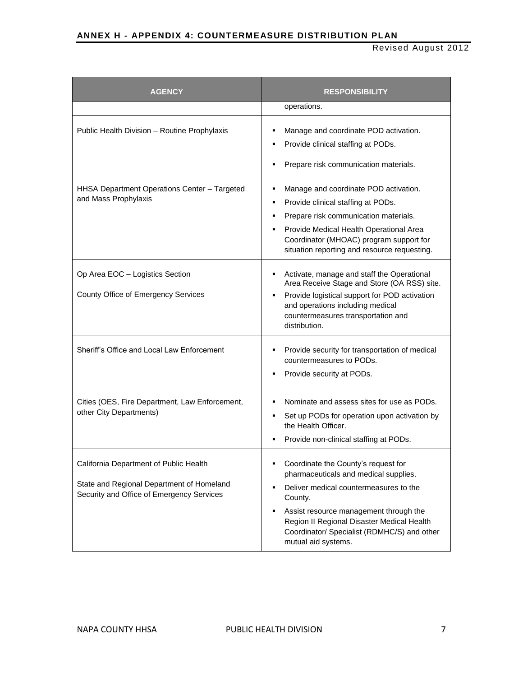#### **ANNEX H - APPENDIX 4: COUNTERMEASURE DISTRIBUTION PLAN**

| <b>AGENCY</b>                                                                                                                    | <b>RESPONSIBILITY</b>                                                                                                                                                                                                                                                                                     |
|----------------------------------------------------------------------------------------------------------------------------------|-----------------------------------------------------------------------------------------------------------------------------------------------------------------------------------------------------------------------------------------------------------------------------------------------------------|
|                                                                                                                                  | operations.                                                                                                                                                                                                                                                                                               |
| Public Health Division - Routine Prophylaxis                                                                                     | Manage and coordinate POD activation.<br>Provide clinical staffing at PODs.<br>Prepare risk communication materials.                                                                                                                                                                                      |
| HHSA Department Operations Center - Targeted<br>and Mass Prophylaxis                                                             | Manage and coordinate POD activation.<br>Provide clinical staffing at PODs.<br>٠<br>Prepare risk communication materials.<br>Provide Medical Health Operational Area<br>Coordinator (MHOAC) program support for<br>situation reporting and resource requesting.                                           |
| Op Area EOC - Logistics Section<br>County Office of Emergency Services                                                           | Activate, manage and staff the Operational<br>٠<br>Area Receive Stage and Store (OA RSS) site.<br>Provide logistical support for POD activation<br>٠<br>and operations including medical<br>countermeasures transportation and<br>distribution.                                                           |
| Sheriff's Office and Local Law Enforcement                                                                                       | Provide security for transportation of medical<br>countermeasures to PODs.<br>Provide security at PODs.                                                                                                                                                                                                   |
| Cities (OES, Fire Department, Law Enforcement,<br>other City Departments)                                                        | Nominate and assess sites for use as PODs.<br>Set up PODs for operation upon activation by<br>٠<br>the Health Officer.<br>Provide non-clinical staffing at PODs.                                                                                                                                          |
| California Department of Public Health<br>State and Regional Department of Homeland<br>Security and Office of Emergency Services | Coordinate the County's request for<br>٠<br>pharmaceuticals and medical supplies.<br>Deliver medical countermeasures to the<br>County.<br>Assist resource management through the<br>٠<br>Region II Regional Disaster Medical Health<br>Coordinator/ Specialist (RDMHC/S) and other<br>mutual aid systems. |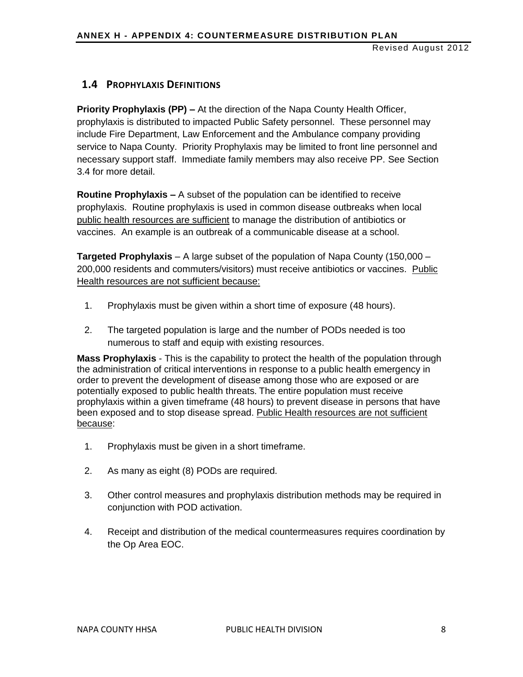#### <span id="page-9-0"></span>**1.4 PROPHYLAXIS DEFINITIONS**

**Priority Prophylaxis (PP) –** At the direction of the Napa County Health Officer, prophylaxis is distributed to impacted Public Safety personnel. These personnel may include Fire Department, Law Enforcement and the Ambulance company providing service to Napa County. Priority Prophylaxis may be limited to front line personnel and necessary support staff. Immediate family members may also receive PP. See Section 3.4 for more detail.

**Routine Prophylaxis –** A subset of the population can be identified to receive prophylaxis. Routine prophylaxis is used in common disease outbreaks when local public health resources are sufficient to manage the distribution of antibiotics or vaccines. An example is an outbreak of a communicable disease at a school.

**Targeted Prophylaxis** – A large subset of the population of Napa County (150,000 – 200,000 residents and commuters/visitors) must receive antibiotics or vaccines.Public Health resources are not sufficient because:

- 1. Prophylaxis must be given within a short time of exposure (48 hours).
- 2. The targeted population is large and the number of PODs needed is too numerous to staff and equip with existing resources.

**Mass Prophylaxis** - This is the capability to protect the health of the population through the administration of critical interventions in response to a public health emergency in order to prevent the development of disease among those who are exposed or are potentially exposed to public health threats. The entire population must receive prophylaxis within a given timeframe (48 hours) to prevent disease in persons that have been exposed and to stop disease spread. Public Health resources are not sufficient because:

- 1. Prophylaxis must be given in a short timeframe.
- 2. As many as eight (8) PODs are required.
- 3. Other control measures and prophylaxis distribution methods may be required in conjunction with POD activation.
- 4. Receipt and distribution of the medical countermeasures requires coordination by the Op Area EOC.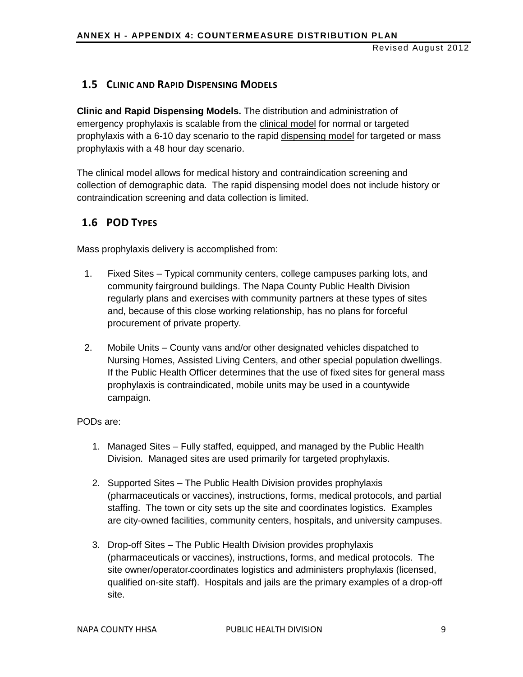#### <span id="page-10-0"></span>**1.5 CLINIC AND RAPID DISPENSING MODELS**

**Clinic and Rapid Dispensing Models.** The distribution and administration of emergency prophylaxis is scalable from the clinical model for normal or targeted prophylaxis with a 6-10 day scenario to the rapid dispensing model for targeted or mass prophylaxis with a 48 hour day scenario.

The clinical model allows for medical history and contraindication screening and collection of demographic data. The rapid dispensing model does not include history or contraindication screening and data collection is limited.

#### <span id="page-10-1"></span>**1.6 POD TYPES**

Mass prophylaxis delivery is accomplished from:

- 1. Fixed Sites Typical community centers, college campuses parking lots, and community fairground buildings. The Napa County Public Health Division regularly plans and exercises with community partners at these types of sites and, because of this close working relationship, has no plans for forceful procurement of private property.
- 2. Mobile Units County vans and/or other designated vehicles dispatched to Nursing Homes, Assisted Living Centers, and other special population dwellings. If the Public Health Officer determines that the use of fixed sites for general mass prophylaxis is contraindicated, mobile units may be used in a countywide campaign.

#### PODs are:

- 1. Managed Sites Fully staffed, equipped, and managed by the Public Health Division. Managed sites are used primarily for targeted prophylaxis.
- 2. Supported Sites The Public Health Division provides prophylaxis (pharmaceuticals or vaccines), instructions, forms, medical protocols, and partial staffing. The town or city sets up the site and coordinates logistics. Examples are city-owned facilities, community centers, hospitals, and university campuses.
- 3. Drop-off Sites The Public Health Division provides prophylaxis (pharmaceuticals or vaccines), instructions, forms, and medical protocols. The site owner/operator coordinates logistics and administers prophylaxis (licensed, qualified on-site staff). Hospitals and jails are the primary examples of a drop-off site.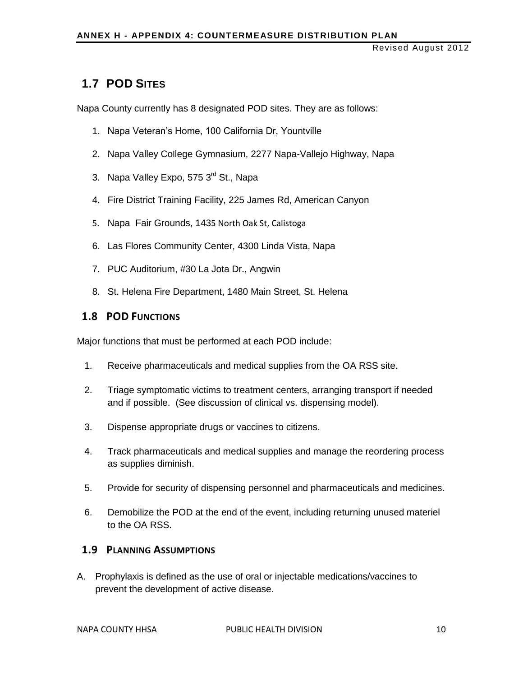### <span id="page-11-0"></span>**1.7 POD SITES**

Napa County currently has 8 designated POD sites. They are as follows:

- 1. Napa Veteran's Home, 100 California Dr, Yountville
- 2. Napa Valley College Gymnasium, 2277 Napa-Vallejo Highway, Napa
- 3. Napa Valley Expo, 575 3<sup>rd</sup> St., Napa
- 4. Fire District Training Facility, 225 James Rd, American Canyon
- 5. Napa Fair Grounds, 1435 North Oak St, Calistoga
- 6. Las Flores Community Center, 4300 Linda Vista, Napa
- 7. PUC Auditorium, #30 La Jota Dr., Angwin
- 8. St. Helena Fire Department, 1480 Main Street, St. Helena

#### <span id="page-11-1"></span>**1.8 POD FUNCTIONS**

Major functions that must be performed at each POD include:

- 1. Receive pharmaceuticals and medical supplies from the OA RSS site.
- 2. Triage symptomatic victims to treatment centers, arranging transport if needed and if possible. (See discussion of clinical vs. dispensing model).
- 3. Dispense appropriate drugs or vaccines to citizens.
- 4. Track pharmaceuticals and medical supplies and manage the reordering process as supplies diminish.
- 5. Provide for security of dispensing personnel and pharmaceuticals and medicines.
- 6. Demobilize the POD at the end of the event, including returning unused materiel to the OA RSS.

#### <span id="page-11-2"></span>**1.9 PLANNING ASSUMPTIONS**

A. Prophylaxis is defined as the use of oral or injectable medications/vaccines to prevent the development of active disease.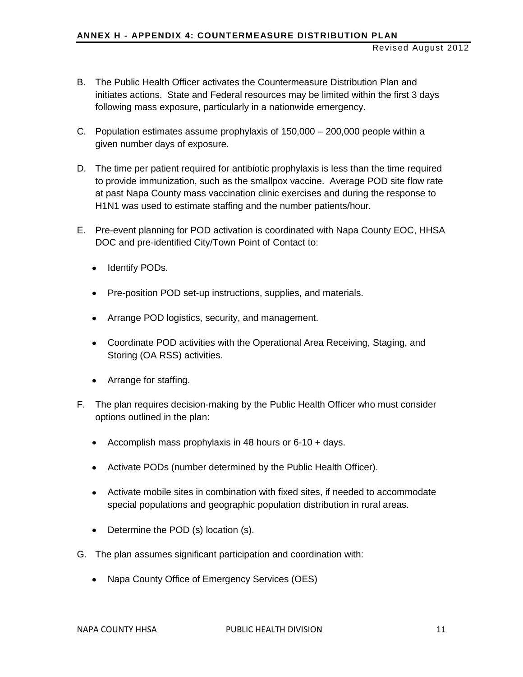- B. The Public Health Officer activates the Countermeasure Distribution Plan and initiates actions. State and Federal resources may be limited within the first 3 days following mass exposure, particularly in a nationwide emergency.
- C. Population estimates assume prophylaxis of 150,000 200,000 people within a given number days of exposure.
- D. The time per patient required for antibiotic prophylaxis is less than the time required to provide immunization, such as the smallpox vaccine. Average POD site flow rate at past Napa County mass vaccination clinic exercises and during the response to H1N1 was used to estimate staffing and the number patients/hour.
- E. Pre-event planning for POD activation is coordinated with Napa County EOC, HHSA DOC and pre-identified City/Town Point of Contact to:
	- Identify PODs.
	- Pre-position POD set-up instructions, supplies, and materials.
	- Arrange POD logistics, security, and management.
	- Coordinate POD activities with the Operational Area Receiving, Staging, and Storing (OA RSS) activities.
	- Arrange for staffing.
- F. The plan requires decision-making by the Public Health Officer who must consider options outlined in the plan:
	- Accomplish mass prophylaxis in 48 hours or  $6-10 + days$ .
	- Activate PODs (number determined by the Public Health Officer).
	- Activate mobile sites in combination with fixed sites, if needed to accommodate special populations and geographic population distribution in rural areas.
	- Determine the POD (s) location (s).
- G. The plan assumes significant participation and coordination with:
	- Napa County Office of Emergency Services (OES)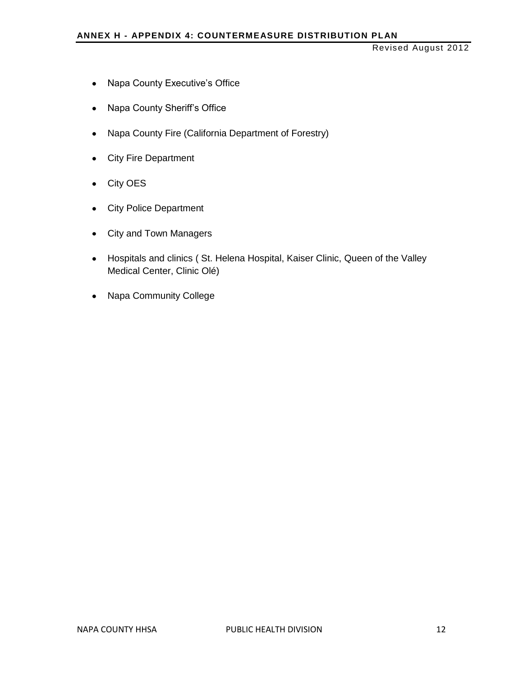- Napa County Executive's Office  $\bullet$
- Napa County Sheriff's Office
- Napa County Fire (California Department of Forestry)
- City Fire Department  $\bullet$
- City OES  $\bullet$
- City Police Department  $\bullet$
- City and Town Managers
- Hospitals and clinics ( St. Helena Hospital, Kaiser Clinic, Queen of the Valley Medical Center, Clinic Olé)
- Napa Community College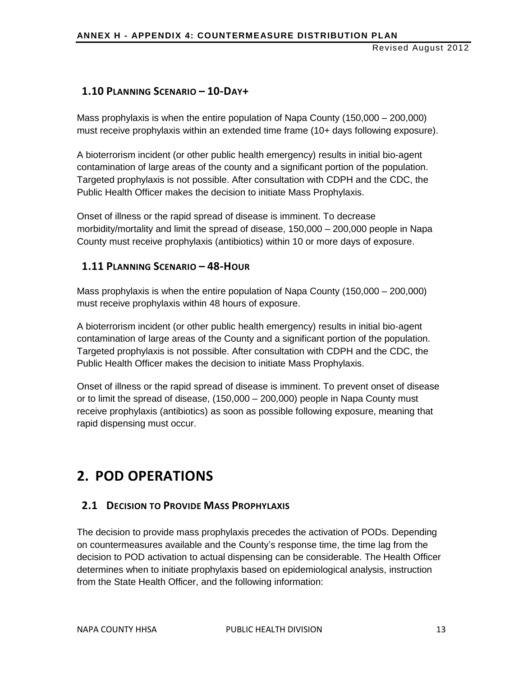#### <span id="page-14-0"></span>**1.10 PLANNING SCENARIO – 10-DAY+**

Mass prophylaxis is when the entire population of Napa County (150,000 – 200,000) must receive prophylaxis within an extended time frame (10+ days following exposure).

A bioterrorism incident (or other public health emergency) results in initial bio-agent contamination of large areas of the county and a significant portion of the population. Targeted prophylaxis is not possible. After consultation with CDPH and the CDC, the Public Health Officer makes the decision to initiate Mass Prophylaxis.

Onset of illness or the rapid spread of disease is imminent. To decrease morbidity/mortality and limit the spread of disease, 150,000 – 200,000 people in Napa County must receive prophylaxis (antibiotics) within 10 or more days of exposure.

#### <span id="page-14-1"></span>**1.11 PLANNING SCENARIO – 48-HOUR**

Mass prophylaxis is when the entire population of Napa County (150,000 – 200,000) must receive prophylaxis within 48 hours of exposure.

A bioterrorism incident (or other public health emergency) results in initial bio-agent contamination of large areas of the County and a significant portion of the population. Targeted prophylaxis is not possible. After consultation with CDPH and the CDC, the Public Health Officer makes the decision to initiate Mass Prophylaxis.

Onset of illness or the rapid spread of disease is imminent. To prevent onset of disease or to limit the spread of disease, (150,000 – 200,000) people in Napa County must receive prophylaxis (antibiotics) as soon as possible following exposure, meaning that rapid dispensing must occur.

# <span id="page-14-2"></span>**2. POD OPERATIONS**

#### <span id="page-14-3"></span>**2.1 DECISION TO PROVIDE MASS PROPHYLAXIS**

The decision to provide mass prophylaxis precedes the activation of PODs. Depending on countermeasures available and the County's response time, the time lag from the decision to POD activation to actual dispensing can be considerable. The Health Officer determines when to initiate prophylaxis based on epidemiological analysis, instruction from the State Health Officer, and the following information: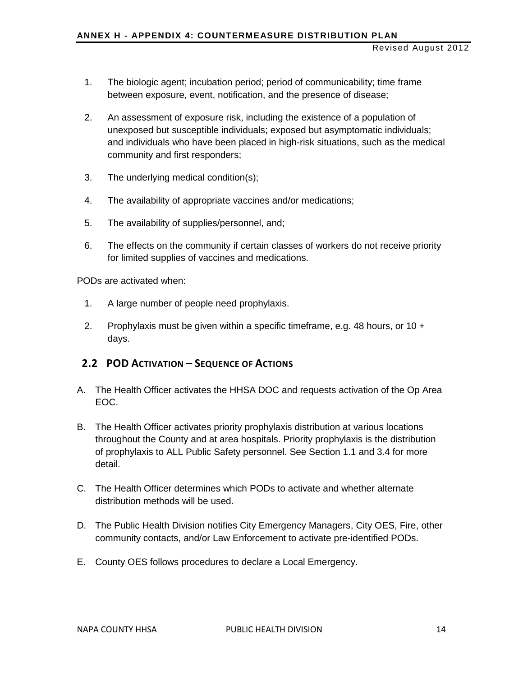- 1. The biologic agent; incubation period; period of communicability; time frame between exposure, event, notification, and the presence of disease;
- 2. An assessment of exposure risk, including the existence of a population of unexposed but susceptible individuals; exposed but asymptomatic individuals; and individuals who have been placed in high-risk situations, such as the medical community and first responders;
- 3. The underlying medical condition(s);
- 4. The availability of appropriate vaccines and/or medications;
- 5. The availability of supplies/personnel, and;
- 6. The effects on the community if certain classes of workers do not receive priority for limited supplies of vaccines and medications.

PODs are activated when:

- 1. A large number of people need prophylaxis.
- 2. Prophylaxis must be given within a specific timeframe, e.g. 48 hours, or 10 + days.

#### <span id="page-15-0"></span>**2.2 POD ACTIVATION – SEQUENCE OF ACTIONS**

- A. The Health Officer activates the HHSA DOC and requests activation of the Op Area EOC.
- B. The Health Officer activates priority prophylaxis distribution at various locations throughout the County and at area hospitals. Priority prophylaxis is the distribution of prophylaxis to ALL Public Safety personnel. See Section 1.1 and 3.4 for more detail.
- C. The Health Officer determines which PODs to activate and whether alternate distribution methods will be used.
- D. The Public Health Division notifies City Emergency Managers, City OES, Fire, other community contacts, and/or Law Enforcement to activate pre-identified PODs.
- E. County OES follows procedures to declare a Local Emergency.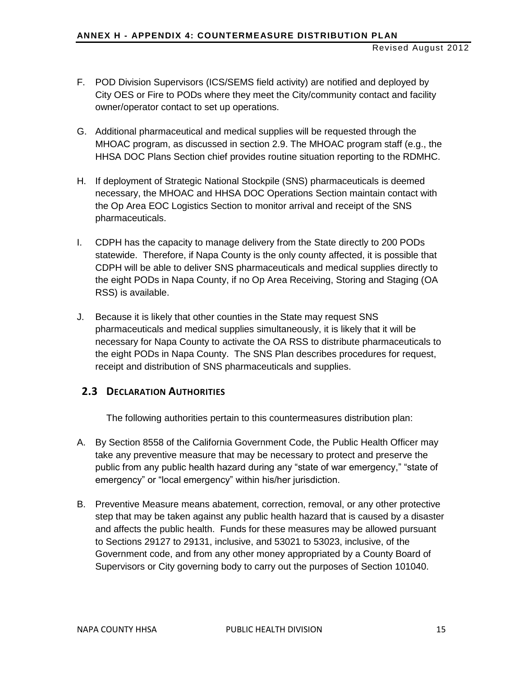- F. POD Division Supervisors (ICS/SEMS field activity) are notified and deployed by City OES or Fire to PODs where they meet the City/community contact and facility owner/operator contact to set up operations.
- G. Additional pharmaceutical and medical supplies will be requested through the MHOAC program, as discussed in section 2.9. The MHOAC program staff (e.g., the HHSA DOC Plans Section chief provides routine situation reporting to the RDMHC.
- H. If deployment of Strategic National Stockpile (SNS) pharmaceuticals is deemed necessary, the MHOAC and HHSA DOC Operations Section maintain contact with the Op Area EOC Logistics Section to monitor arrival and receipt of the SNS pharmaceuticals.
- I. CDPH has the capacity to manage delivery from the State directly to 200 PODs statewide. Therefore, if Napa County is the only county affected, it is possible that CDPH will be able to deliver SNS pharmaceuticals and medical supplies directly to the eight PODs in Napa County, if no Op Area Receiving, Storing and Staging (OA RSS) is available.
- J. Because it is likely that other counties in the State may request SNS pharmaceuticals and medical supplies simultaneously, it is likely that it will be necessary for Napa County to activate the OA RSS to distribute pharmaceuticals to the eight PODs in Napa County. The SNS Plan describes procedures for request, receipt and distribution of SNS pharmaceuticals and supplies.

#### <span id="page-16-0"></span>**2.3 DECLARATION AUTHORITIES**

The following authorities pertain to this countermeasures distribution plan:

- A. By Section 8558 of the California Government Code, the Public Health Officer may take any preventive measure that may be necessary to protect and preserve the public from any public health hazard during any "state of war emergency," "state of emergency" or "local emergency" within his/her jurisdiction.
- B. Preventive Measure means abatement, correction, removal, or any other protective step that may be taken against any public health hazard that is caused by a disaster and affects the public health. Funds for these measures may be allowed pursuant to Sections 29127 to 29131, inclusive, and 53021 to 53023, inclusive, of the Government code, and from any other money appropriated by a County Board of Supervisors or City governing body to carry out the purposes of Section 101040.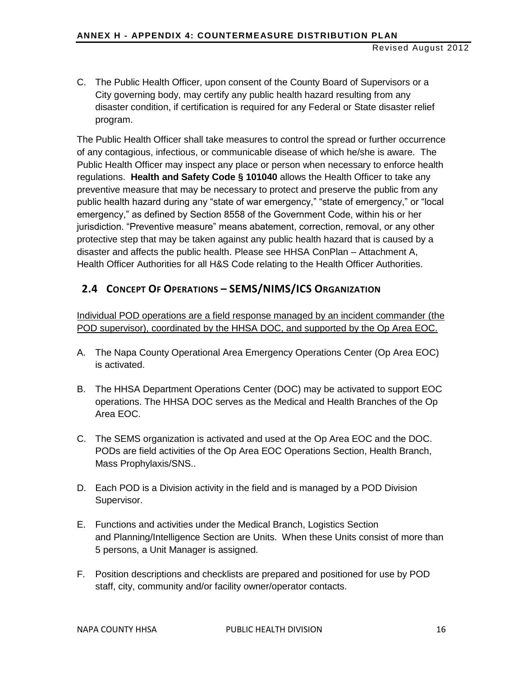C. The Public Health Officer, upon consent of the County Board of Supervisors or a City governing body, may certify any public health hazard resulting from any disaster condition, if certification is required for any Federal or State disaster relief program.

The Public Health Officer shall take measures to control the spread or further occurrence of any contagious, infectious, or communicable disease of which he/she is aware. The Public Health Officer may inspect any place or person when necessary to enforce health regulations. **Health and Safety Code § 101040** allows the Health Officer to take any preventive measure that may be necessary to protect and preserve the public from any public health hazard during any "state of war emergency," "state of emergency," or "local emergency," as defined by Section 8558 of the Government Code, within his or her jurisdiction. "Preventive measure" means abatement, correction, removal, or any other protective step that may be taken against any public health hazard that is caused by a disaster and affects the public health. Please see HHSA ConPlan – Attachment A, Health Officer Authorities for all H&S Code relating to the Health Officer Authorities.

#### <span id="page-17-0"></span>**2.4 CONCEPT OF OPERATIONS – SEMS/NIMS/ICS ORGANIZATION**

Individual POD operations are a field response managed by an incident commander (the POD supervisor), coordinated by the HHSA DOC, and supported by the Op Area EOC.

- A. The Napa County Operational Area Emergency Operations Center (Op Area EOC) is activated.
- B. The HHSA Department Operations Center (DOC) may be activated to support EOC operations. The HHSA DOC serves as the Medical and Health Branches of the Op Area EOC.
- C. The SEMS organization is activated and used at the Op Area EOC and the DOC. PODs are field activities of the Op Area EOC Operations Section, Health Branch, Mass Prophylaxis/SNS..
- D. Each POD is a Division activity in the field and is managed by a POD Division Supervisor.
- E. Functions and activities under the Medical Branch, Logistics Section and Planning/Intelligence Section are Units. When these Units consist of more than 5 persons, a Unit Manager is assigned.
- F. Position descriptions and checklists are prepared and positioned for use by POD staff, city, community and/or facility owner/operator contacts.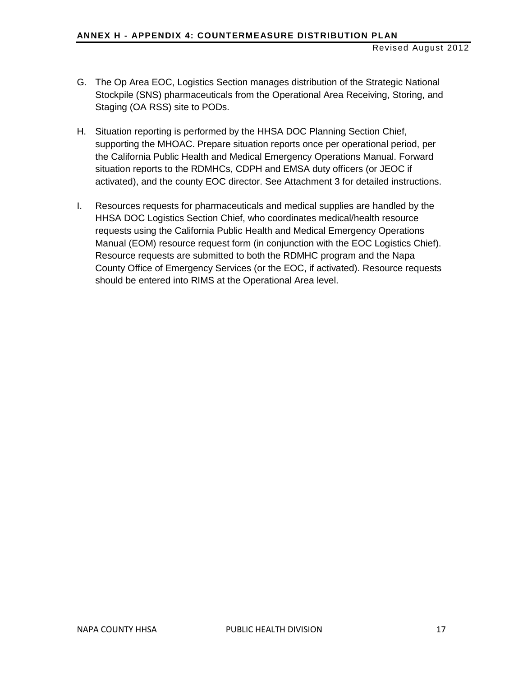- G. The Op Area EOC, Logistics Section manages distribution of the Strategic National Stockpile (SNS) pharmaceuticals from the Operational Area Receiving, Storing, and Staging (OA RSS) site to PODs.
- H. Situation reporting is performed by the HHSA DOC Planning Section Chief, supporting the MHOAC. Prepare situation reports once per operational period, per the California Public Health and Medical Emergency Operations Manual. Forward situation reports to the RDMHCs, CDPH and EMSA duty officers (or JEOC if activated), and the county EOC director. See Attachment 3 for detailed instructions.
- I. Resources requests for pharmaceuticals and medical supplies are handled by the HHSA DOC Logistics Section Chief, who coordinates medical/health resource requests using the California Public Health and Medical Emergency Operations Manual (EOM) resource request form (in conjunction with the EOC Logistics Chief). Resource requests are submitted to both the RDMHC program and the Napa County Office of Emergency Services (or the EOC, if activated). Resource requests should be entered into RIMS at the Operational Area level.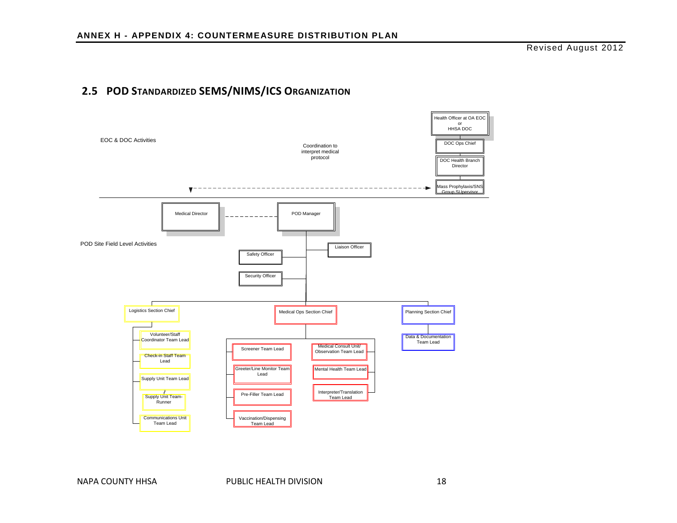### **2.5 POD STANDARDIZED SEMS/NIMS/ICS ORGANIZATION**

<span id="page-19-0"></span>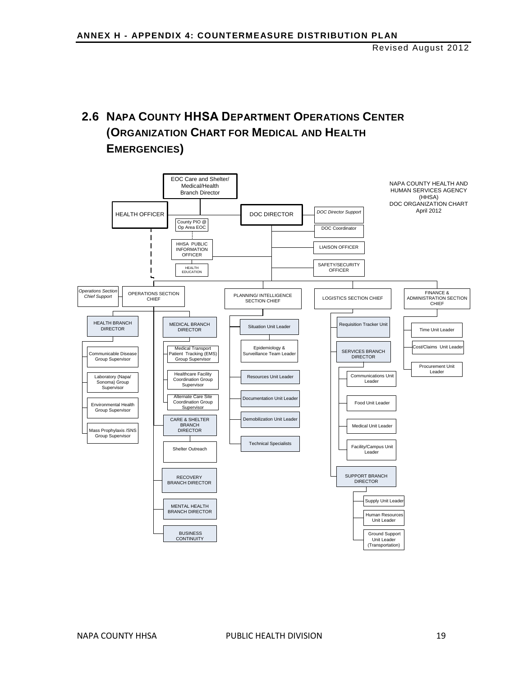## <span id="page-20-0"></span>**2.6 NAPA COUNTY HHSA DEPARTMENT OPERATIONS CENTER (ORGANIZATION CHART FOR MEDICAL AND HEALTH EMERGENCIES)**

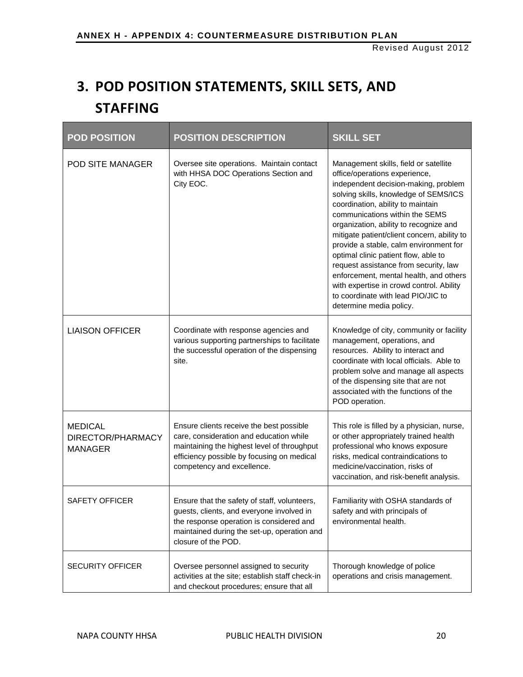# <span id="page-21-0"></span>**3. POD POSITION STATEMENTS, SKILL SETS, AND STAFFING**

| <b>POD POSITION</b>                                   | <b>POSITION DESCRIPTION</b>                                                                                                                                                                                    | <b>SKILL SET</b>                                                                                                                                                                                                                                                                                                                                                                                                                                                                                                                                                                                          |
|-------------------------------------------------------|----------------------------------------------------------------------------------------------------------------------------------------------------------------------------------------------------------------|-----------------------------------------------------------------------------------------------------------------------------------------------------------------------------------------------------------------------------------------------------------------------------------------------------------------------------------------------------------------------------------------------------------------------------------------------------------------------------------------------------------------------------------------------------------------------------------------------------------|
| POD SITE MANAGER                                      | Oversee site operations. Maintain contact<br>with HHSA DOC Operations Section and<br>City EOC.                                                                                                                 | Management skills, field or satellite<br>office/operations experience,<br>independent decision-making, problem<br>solving skills, knowledge of SEMS/ICS<br>coordination, ability to maintain<br>communications within the SEMS<br>organization, ability to recognize and<br>mitigate patient/client concern, ability to<br>provide a stable, calm environment for<br>optimal clinic patient flow, able to<br>request assistance from security, law<br>enforcement, mental health, and others<br>with expertise in crowd control. Ability<br>to coordinate with lead PIO/JIC to<br>determine media policy. |
| <b>LIAISON OFFICER</b>                                | Coordinate with response agencies and<br>various supporting partnerships to facilitate<br>the successful operation of the dispensing<br>site.                                                                  | Knowledge of city, community or facility<br>management, operations, and<br>resources. Ability to interact and<br>coordinate with local officials. Able to<br>problem solve and manage all aspects<br>of the dispensing site that are not<br>associated with the functions of the<br>POD operation.                                                                                                                                                                                                                                                                                                        |
| <b>MEDICAL</b><br>DIRECTOR/PHARMACY<br><b>MANAGER</b> | Ensure clients receive the best possible<br>care, consideration and education while<br>maintaining the highest level of throughput<br>efficiency possible by focusing on medical<br>competency and excellence. | This role is filled by a physician, nurse,<br>or other appropriately trained health<br>professional who knows exposure<br>risks, medical contraindications to<br>medicine/vaccination, risks of<br>vaccination, and risk-benefit analysis.                                                                                                                                                                                                                                                                                                                                                                |
| <b>SAFETY OFFICER</b>                                 | Ensure that the safety of staff, volunteers,<br>guests, clients, and everyone involved in<br>the response operation is considered and<br>maintained during the set-up, operation and<br>closure of the POD.    | Familiarity with OSHA standards of<br>safety and with principals of<br>environmental health.                                                                                                                                                                                                                                                                                                                                                                                                                                                                                                              |
| <b>SECURITY OFFICER</b>                               | Oversee personnel assigned to security<br>activities at the site; establish staff check-in<br>and checkout procedures; ensure that all                                                                         | Thorough knowledge of police<br>operations and crisis management.                                                                                                                                                                                                                                                                                                                                                                                                                                                                                                                                         |

п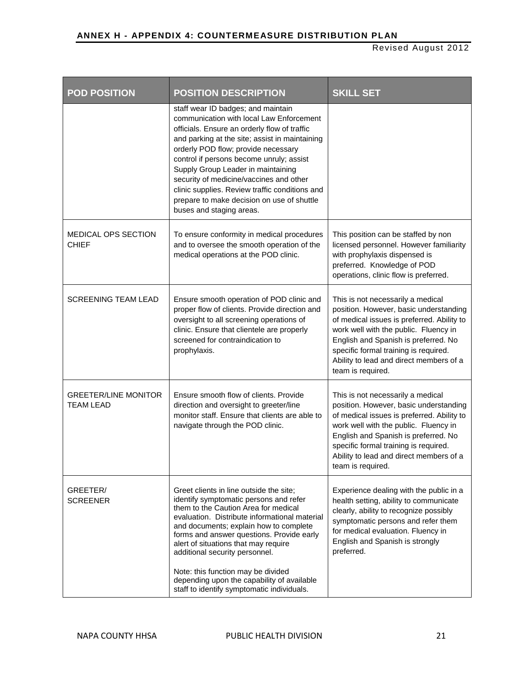| <b>POD POSITION</b>                             | <b>POSITION DESCRIPTION</b>                                                                                                                                                                                                                                                                                                                                                                                                                                                      | <b>SKILL SET</b>                                                                                                                                                                                                                                                                                                    |
|-------------------------------------------------|----------------------------------------------------------------------------------------------------------------------------------------------------------------------------------------------------------------------------------------------------------------------------------------------------------------------------------------------------------------------------------------------------------------------------------------------------------------------------------|---------------------------------------------------------------------------------------------------------------------------------------------------------------------------------------------------------------------------------------------------------------------------------------------------------------------|
|                                                 | staff wear ID badges; and maintain<br>communication with local Law Enforcement<br>officials. Ensure an orderly flow of traffic<br>and parking at the site; assist in maintaining<br>orderly POD flow; provide necessary<br>control if persons become unruly; assist<br>Supply Group Leader in maintaining<br>security of medicine/vaccines and other<br>clinic supplies. Review traffic conditions and<br>prepare to make decision on use of shuttle<br>buses and staging areas. |                                                                                                                                                                                                                                                                                                                     |
| MEDICAL OPS SECTION<br><b>CHIEF</b>             | To ensure conformity in medical procedures<br>and to oversee the smooth operation of the<br>medical operations at the POD clinic.                                                                                                                                                                                                                                                                                                                                                | This position can be staffed by non<br>licensed personnel. However familiarity<br>with prophylaxis dispensed is<br>preferred. Knowledge of POD<br>operations, clinic flow is preferred.                                                                                                                             |
| <b>SCREENING TEAM LEAD</b>                      | Ensure smooth operation of POD clinic and<br>proper flow of clients. Provide direction and<br>oversight to all screening operations of<br>clinic. Ensure that clientele are properly<br>screened for contraindication to<br>prophylaxis.                                                                                                                                                                                                                                         | This is not necessarily a medical<br>position. However, basic understanding<br>of medical issues is preferred. Ability to<br>work well with the public. Fluency in<br>English and Spanish is preferred. No<br>specific formal training is required.<br>Ability to lead and direct members of a<br>team is required. |
| <b>GREETER/LINE MONITOR</b><br><b>TEAM LEAD</b> | Ensure smooth flow of clients, Provide<br>direction and oversight to greeter/line<br>monitor staff. Ensure that clients are able to<br>navigate through the POD clinic.                                                                                                                                                                                                                                                                                                          | This is not necessarily a medical<br>position. However, basic understanding<br>of medical issues is preferred. Ability to<br>work well with the public. Fluency in<br>English and Spanish is preferred. No<br>specific formal training is required.<br>Ability to lead and direct members of a<br>team is required. |
| GREETER/<br><b>SCREENER</b>                     | Greet clients in line outside the site;<br>identify symptomatic persons and refer<br>them to the Caution Area for medical<br>evaluation. Distribute informational material<br>and documents; explain how to complete<br>forms and answer questions. Provide early<br>alert of situations that may require<br>additional security personnel.<br>Note: this function may be divided                                                                                                | Experience dealing with the public in a<br>health setting, ability to communicate<br>clearly, ability to recognize possibly<br>symptomatic persons and refer them<br>for medical evaluation. Fluency in<br>English and Spanish is strongly<br>preferred.                                                            |
|                                                 | depending upon the capability of available<br>staff to identify symptomatic individuals.                                                                                                                                                                                                                                                                                                                                                                                         |                                                                                                                                                                                                                                                                                                                     |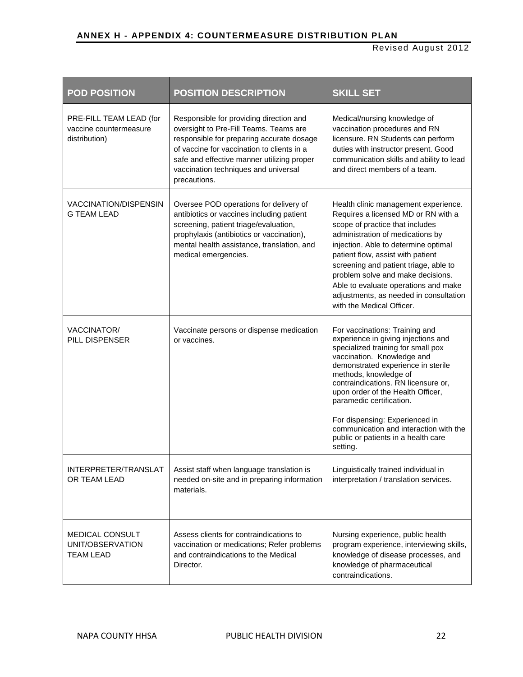| <b>POD POSITION</b>                                                | <b>POSITION DESCRIPTION</b>                                                                                                                                                                                                                                                        | <b>SKILL SET</b>                                                                                                                                                                                                                                                                                                                                                                                                                                |
|--------------------------------------------------------------------|------------------------------------------------------------------------------------------------------------------------------------------------------------------------------------------------------------------------------------------------------------------------------------|-------------------------------------------------------------------------------------------------------------------------------------------------------------------------------------------------------------------------------------------------------------------------------------------------------------------------------------------------------------------------------------------------------------------------------------------------|
| PRE-FILL TEAM LEAD (for<br>vaccine countermeasure<br>distribution) | Responsible for providing direction and<br>oversight to Pre-Fill Teams. Teams are<br>responsible for preparing accurate dosage<br>of vaccine for vaccination to clients in a<br>safe and effective manner utilizing proper<br>vaccination techniques and universal<br>precautions. | Medical/nursing knowledge of<br>vaccination procedures and RN<br>licensure. RN Students can perform<br>duties with instructor present. Good<br>communication skills and ability to lead<br>and direct members of a team.                                                                                                                                                                                                                        |
| <b>VACCINATION/DISPENSIN</b><br><b>G TEAM LEAD</b>                 | Oversee POD operations for delivery of<br>antibiotics or vaccines including patient<br>screening, patient triage/evaluation,<br>prophylaxis (antibiotics or vaccination),<br>mental health assistance, translation, and<br>medical emergencies.                                    | Health clinic management experience.<br>Requires a licensed MD or RN with a<br>scope of practice that includes<br>administration of medications by<br>injection. Able to determine optimal<br>patient flow, assist with patient<br>screening and patient triage, able to<br>problem solve and make decisions.<br>Able to evaluate operations and make<br>adjustments, as needed in consultation<br>with the Medical Officer.                    |
| VACCINATOR/<br>PILL DISPENSER                                      | Vaccinate persons or dispense medication<br>or vaccines.                                                                                                                                                                                                                           | For vaccinations: Training and<br>experience in giving injections and<br>specialized training for small pox<br>vaccination. Knowledge and<br>demonstrated experience in sterile<br>methods, knowledge of<br>contraindications. RN licensure or,<br>upon order of the Health Officer,<br>paramedic certification.<br>For dispensing: Experienced in<br>communication and interaction with the<br>public or patients in a health care<br>setting. |
| INTERPRETER/TRANSLAT<br>OR TEAM LEAD                               | Assist staff when language translation is<br>needed on-site and in preparing information<br>materials.                                                                                                                                                                             | Linguistically trained individual in<br>interpretation / translation services.                                                                                                                                                                                                                                                                                                                                                                  |
| <b>MEDICAL CONSULT</b><br>UNIT/OBSERVATION<br><b>TEAM LEAD</b>     | Assess clients for contraindications to<br>vaccination or medications; Refer problems<br>and contraindications to the Medical<br>Director.                                                                                                                                         | Nursing experience, public health<br>program experience, interviewing skills,<br>knowledge of disease processes, and<br>knowledge of pharmaceutical<br>contraindications.                                                                                                                                                                                                                                                                       |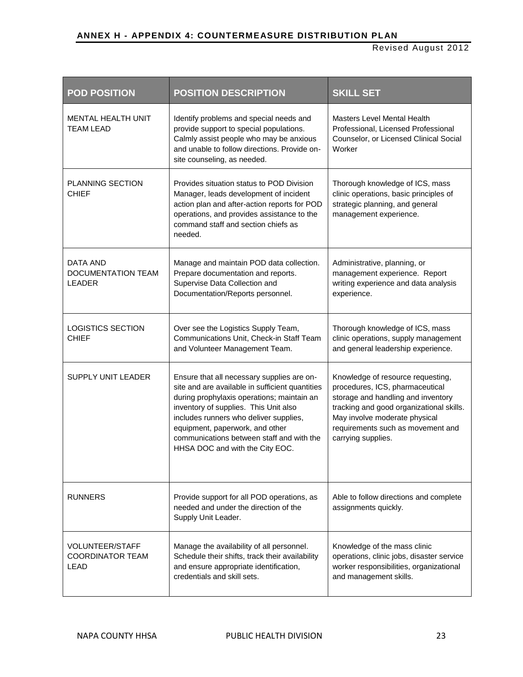| <b>POD POSITION</b>                                           | <b>POSITION DESCRIPTION</b>                                                                                                                                                                                                                                                                                                                       | <b>SKILL SET</b>                                                                                                                                                                                                                                   |
|---------------------------------------------------------------|---------------------------------------------------------------------------------------------------------------------------------------------------------------------------------------------------------------------------------------------------------------------------------------------------------------------------------------------------|----------------------------------------------------------------------------------------------------------------------------------------------------------------------------------------------------------------------------------------------------|
| <b>MENTAL HEALTH UNIT</b><br>TEAM LEAD                        | Identify problems and special needs and<br>provide support to special populations.<br>Calmly assist people who may be anxious<br>and unable to follow directions. Provide on-<br>site counseling, as needed.                                                                                                                                      | Masters Level Mental Health<br>Professional, Licensed Professional<br>Counselor, or Licensed Clinical Social<br>Worker                                                                                                                             |
| <b>PLANNING SECTION</b><br><b>CHIEF</b>                       | Provides situation status to POD Division<br>Manager, leads development of incident<br>action plan and after-action reports for POD<br>operations, and provides assistance to the<br>command staff and section chiefs as<br>needed.                                                                                                               | Thorough knowledge of ICS, mass<br>clinic operations, basic principles of<br>strategic planning, and general<br>management experience.                                                                                                             |
| <b>DATA AND</b><br><b>DOCUMENTATION TEAM</b><br><b>LEADER</b> | Manage and maintain POD data collection.<br>Prepare documentation and reports.<br>Supervise Data Collection and<br>Documentation/Reports personnel.                                                                                                                                                                                               | Administrative, planning, or<br>management experience. Report<br>writing experience and data analysis<br>experience.                                                                                                                               |
| <b>LOGISTICS SECTION</b><br><b>CHIEF</b>                      | Over see the Logistics Supply Team,<br>Communications Unit, Check-in Staff Team<br>and Volunteer Management Team.                                                                                                                                                                                                                                 | Thorough knowledge of ICS, mass<br>clinic operations, supply management<br>and general leadership experience.                                                                                                                                      |
| SUPPLY UNIT LEADER                                            | Ensure that all necessary supplies are on-<br>site and are available in sufficient quantities<br>during prophylaxis operations; maintain an<br>inventory of supplies. This Unit also<br>includes runners who deliver supplies,<br>equipment, paperwork, and other<br>communications between staff and with the<br>HHSA DOC and with the City EOC. | Knowledge of resource requesting,<br>procedures, ICS, pharmaceutical<br>storage and handling and inventory<br>tracking and good organizational skills.<br>May involve moderate physical<br>requirements such as movement and<br>carrying supplies. |
| <b>RUNNERS</b>                                                | Provide support for all POD operations, as<br>needed and under the direction of the<br>Supply Unit Leader.                                                                                                                                                                                                                                        | Able to follow directions and complete<br>assignments quickly.                                                                                                                                                                                     |
| <b>VOLUNTEER/STAFF</b><br><b>COORDINATOR TEAM</b><br>LEAD     | Manage the availability of all personnel.<br>Schedule their shifts, track their availability<br>and ensure appropriate identification,<br>credentials and skill sets.                                                                                                                                                                             | Knowledge of the mass clinic<br>operations, clinic jobs, disaster service<br>worker responsibilities, organizational<br>and management skills.                                                                                                     |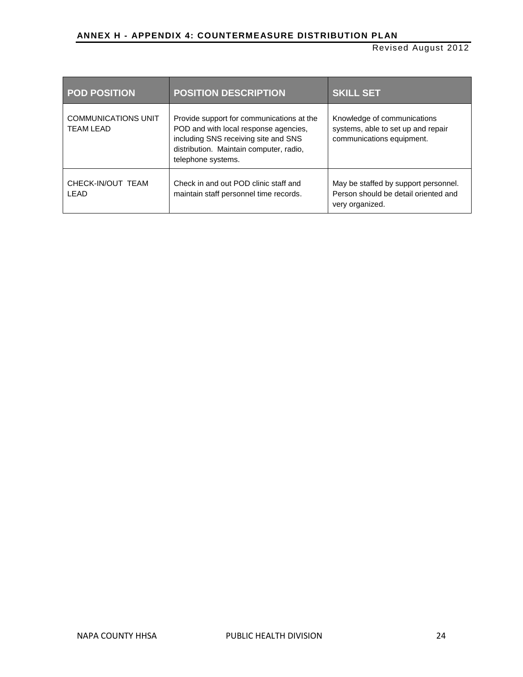| <b>POD POSITION</b>                            | <b>POSITION DESCRIPTION</b>                                                                                                                                                                 | <b>SKILL SET</b>                                                                                |
|------------------------------------------------|---------------------------------------------------------------------------------------------------------------------------------------------------------------------------------------------|-------------------------------------------------------------------------------------------------|
| <b>COMMUNICATIONS UNIT</b><br><b>TEAM LEAD</b> | Provide support for communications at the<br>POD and with local response agencies,<br>including SNS receiving site and SNS<br>distribution. Maintain computer, radio,<br>telephone systems. | Knowledge of communications<br>systems, able to set up and repair<br>communications equipment.  |
| CHECK-IN/OUT TEAM<br>L FAD                     | Check in and out POD clinic staff and<br>maintain staff personnel time records.                                                                                                             | May be staffed by support personnel.<br>Person should be detail oriented and<br>very organized. |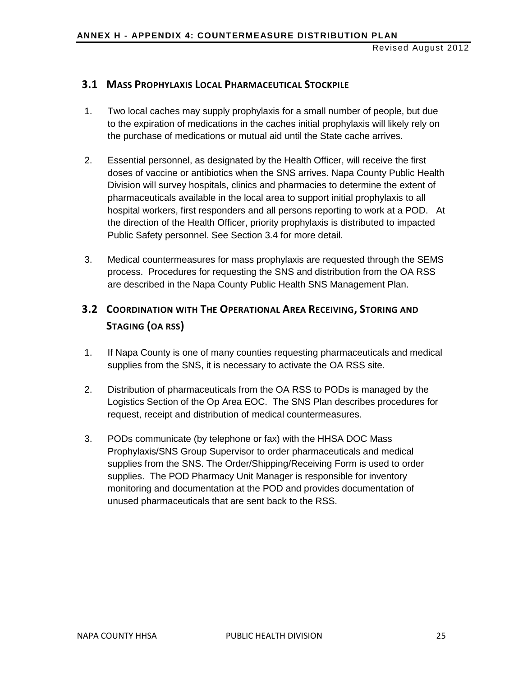#### <span id="page-26-0"></span>**3.1 MASS PROPHYLAXIS LOCAL PHARMACEUTICAL STOCKPILE**

- 1. Two local caches may supply prophylaxis for a small number of people, but due to the expiration of medications in the caches initial prophylaxis will likely rely on the purchase of medications or mutual aid until the State cache arrives.
- 2. Essential personnel, as designated by the Health Officer, will receive the first doses of vaccine or antibiotics when the SNS arrives. Napa County Public Health Division will survey hospitals, clinics and pharmacies to determine the extent of pharmaceuticals available in the local area to support initial prophylaxis to all hospital workers, first responders and all persons reporting to work at a POD. At the direction of the Health Officer, priority prophylaxis is distributed to impacted Public Safety personnel. See Section 3.4 for more detail.
- 3. Medical countermeasures for mass prophylaxis are requested through the SEMS process. Procedures for requesting the SNS and distribution from the OA RSS are described in the Napa County Public Health SNS Management Plan.

### <span id="page-26-1"></span>**3.2 COORDINATION WITH THE OPERATIONAL AREA RECEIVING, STORING AND STAGING (OA RSS)**

- 1. If Napa County is one of many counties requesting pharmaceuticals and medical supplies from the SNS, it is necessary to activate the OA RSS site.
- 2. Distribution of pharmaceuticals from the OA RSS to PODs is managed by the Logistics Section of the Op Area EOC. The SNS Plan describes procedures for request, receipt and distribution of medical countermeasures.
- 3. PODs communicate (by telephone or fax) with the HHSA DOC Mass Prophylaxis/SNS Group Supervisor to order pharmaceuticals and medical supplies from the SNS. The Order/Shipping/Receiving Form is used to order supplies. The POD Pharmacy Unit Manager is responsible for inventory monitoring and documentation at the POD and provides documentation of unused pharmaceuticals that are sent back to the RSS.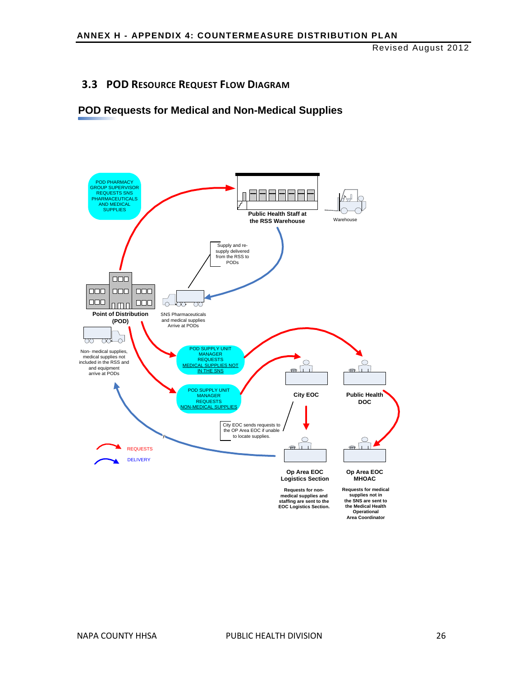#### <span id="page-27-0"></span>**3.3 POD RESOURCE REQUEST FLOW DIAGRAM**

#### **POD Requests for Medical and Non-Medical Supplies**

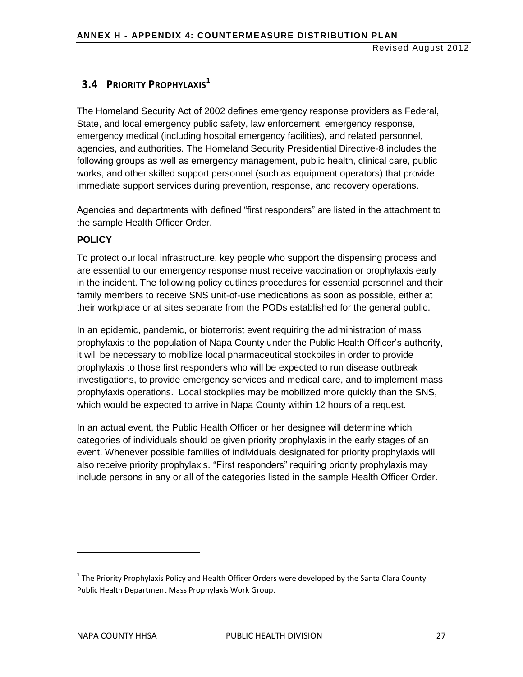### <span id="page-28-0"></span>**3.4 PRIORITY PROPHYLAXIS<sup>1</sup>**

The Homeland Security Act of 2002 defines emergency response providers as Federal, State, and local emergency public safety, law enforcement, emergency response, emergency medical (including hospital emergency facilities), and related personnel, agencies, and authorities. The Homeland Security Presidential Directive-8 includes the following groups as well as emergency management, public health, clinical care, public works, and other skilled support personnel (such as equipment operators) that provide immediate support services during prevention, response, and recovery operations.

Agencies and departments with defined "first responders" are listed in the attachment to the sample Health Officer Order.

#### **POLICY**

To protect our local infrastructure, key people who support the dispensing process and are essential to our emergency response must receive vaccination or prophylaxis early in the incident. The following policy outlines procedures for essential personnel and their family members to receive SNS unit-of-use medications as soon as possible, either at their workplace or at sites separate from the PODs established for the general public.

In an epidemic, pandemic, or bioterrorist event requiring the administration of mass prophylaxis to the population of Napa County under the Public Health Officer's authority, it will be necessary to mobilize local pharmaceutical stockpiles in order to provide prophylaxis to those first responders who will be expected to run disease outbreak investigations, to provide emergency services and medical care, and to implement mass prophylaxis operations. Local stockpiles may be mobilized more quickly than the SNS, which would be expected to arrive in Napa County within 12 hours of a request.

In an actual event, the Public Health Officer or her designee will determine which categories of individuals should be given priority prophylaxis in the early stages of an event. Whenever possible families of individuals designated for priority prophylaxis will also receive priority prophylaxis. "First responders" requiring priority prophylaxis may include persons in any or all of the categories listed in the sample Health Officer Order.

 $\overline{a}$ 

 $^1$  The Priority Prophylaxis Policy and Health Officer Orders were developed by the Santa Clara County Public Health Department Mass Prophylaxis Work Group.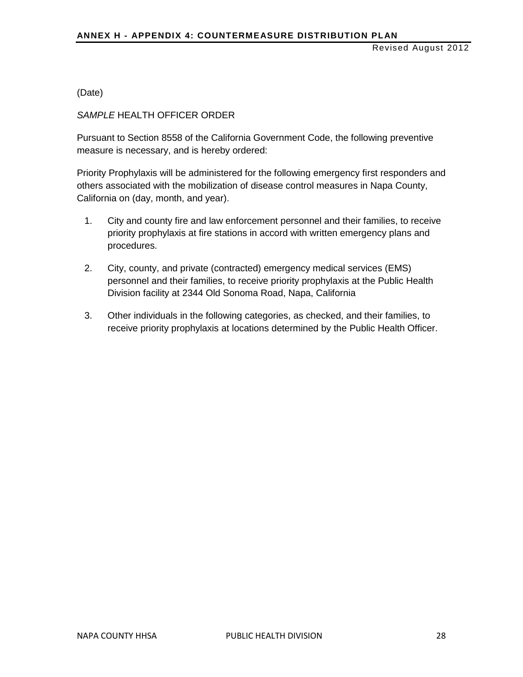(Date)

#### *SAMPLE* HEALTH OFFICER ORDER

Pursuant to Section 8558 of the California Government Code, the following preventive measure is necessary, and is hereby ordered:

Priority Prophylaxis will be administered for the following emergency first responders and others associated with the mobilization of disease control measures in Napa County, California on (day, month, and year).

- 1. City and county fire and law enforcement personnel and their families, to receive priority prophylaxis at fire stations in accord with written emergency plans and procedures.
- 2. City, county, and private (contracted) emergency medical services (EMS) personnel and their families, to receive priority prophylaxis at the Public Health Division facility at 2344 Old Sonoma Road, Napa, California
- 3. Other individuals in the following categories, as checked, and their families, to receive priority prophylaxis at locations determined by the Public Health Officer.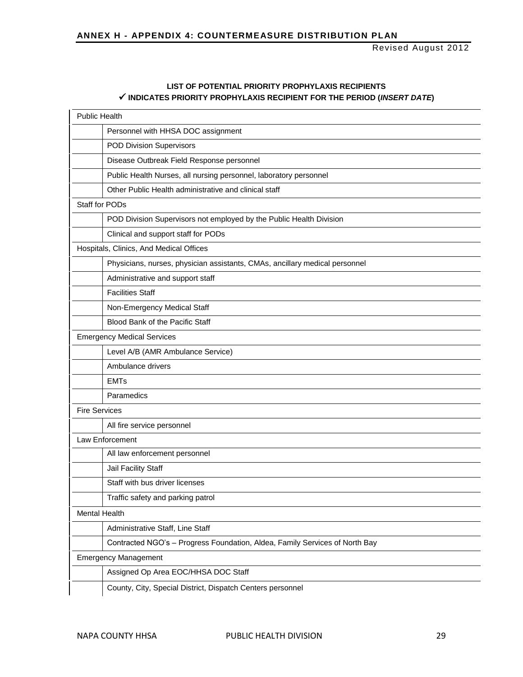#### **LIST OF POTENTIAL PRIORITY PROPHYLAXIS RECIPIENTS INDICATES PRIORITY PROPHYLAXIS RECIPIENT FOR THE PERIOD (***INSERT DATE***)**

| <b>Public Health</b>                                                        |  |
|-----------------------------------------------------------------------------|--|
| Personnel with HHSA DOC assignment                                          |  |
| <b>POD Division Supervisors</b>                                             |  |
| Disease Outbreak Field Response personnel                                   |  |
| Public Health Nurses, all nursing personnel, laboratory personnel           |  |
| Other Public Health administrative and clinical staff                       |  |
| <b>Staff for PODs</b>                                                       |  |
| POD Division Supervisors not employed by the Public Health Division         |  |
| Clinical and support staff for PODs                                         |  |
| Hospitals, Clinics, And Medical Offices                                     |  |
| Physicians, nurses, physician assistants, CMAs, ancillary medical personnel |  |
| Administrative and support staff                                            |  |
| <b>Facilities Staff</b>                                                     |  |
| Non-Emergency Medical Staff                                                 |  |
| Blood Bank of the Pacific Staff                                             |  |
| <b>Emergency Medical Services</b>                                           |  |
| Level A/B (AMR Ambulance Service)                                           |  |
| Ambulance drivers                                                           |  |
| <b>EMTs</b>                                                                 |  |
| Paramedics                                                                  |  |
| <b>Fire Services</b>                                                        |  |
| All fire service personnel                                                  |  |
| Law Enforcement                                                             |  |
| All law enforcement personnel                                               |  |
| Jail Facility Staff                                                         |  |
| Staff with bus driver licenses                                              |  |
| Traffic safety and parking patrol                                           |  |
| <b>Mental Health</b>                                                        |  |
| Administrative Staff, Line Staff                                            |  |
| Contracted NGO's - Progress Foundation, Aldea, Family Services of North Bay |  |
| <b>Emergency Management</b>                                                 |  |
| Assigned Op Area EOC/HHSA DOC Staff                                         |  |
| County, City, Special District, Dispatch Centers personnel                  |  |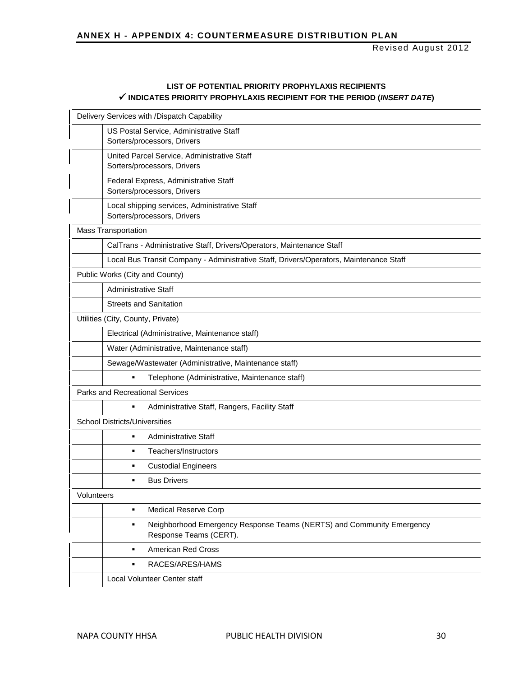#### **LIST OF POTENTIAL PRIORITY PROPHYLAXIS RECIPIENTS INDICATES PRIORITY PROPHYLAXIS RECIPIENT FOR THE PERIOD (***INSERT DATE***)**

| Delivery Services with /Dispatch Capability                                                          |  |  |  |  |  |  |  |
|------------------------------------------------------------------------------------------------------|--|--|--|--|--|--|--|
| US Postal Service, Administrative Staff<br>Sorters/processors, Drivers                               |  |  |  |  |  |  |  |
| United Parcel Service, Administrative Staff<br>Sorters/processors, Drivers                           |  |  |  |  |  |  |  |
| Federal Express, Administrative Staff<br>Sorters/processors, Drivers                                 |  |  |  |  |  |  |  |
| Local shipping services, Administrative Staff<br>Sorters/processors, Drivers                         |  |  |  |  |  |  |  |
| <b>Mass Transportation</b>                                                                           |  |  |  |  |  |  |  |
| CalTrans - Administrative Staff, Drivers/Operators, Maintenance Staff                                |  |  |  |  |  |  |  |
| Local Bus Transit Company - Administrative Staff, Drivers/Operators, Maintenance Staff               |  |  |  |  |  |  |  |
| Public Works (City and County)                                                                       |  |  |  |  |  |  |  |
| <b>Administrative Staff</b>                                                                          |  |  |  |  |  |  |  |
| <b>Streets and Sanitation</b>                                                                        |  |  |  |  |  |  |  |
| Utilities (City, County, Private)                                                                    |  |  |  |  |  |  |  |
| Electrical (Administrative, Maintenance staff)                                                       |  |  |  |  |  |  |  |
| Water (Administrative, Maintenance staff)                                                            |  |  |  |  |  |  |  |
| Sewage/Wastewater (Administrative, Maintenance staff)                                                |  |  |  |  |  |  |  |
| Telephone (Administrative, Maintenance staff)                                                        |  |  |  |  |  |  |  |
| Parks and Recreational Services                                                                      |  |  |  |  |  |  |  |
| Administrative Staff, Rangers, Facility Staff<br>П                                                   |  |  |  |  |  |  |  |
| <b>School Districts/Universities</b>                                                                 |  |  |  |  |  |  |  |
| <b>Administrative Staff</b><br>٠                                                                     |  |  |  |  |  |  |  |
| Teachers/Instructors<br>٠                                                                            |  |  |  |  |  |  |  |
| <b>Custodial Engineers</b><br>٠                                                                      |  |  |  |  |  |  |  |
| <b>Bus Drivers</b><br>٠                                                                              |  |  |  |  |  |  |  |
| Volunteers                                                                                           |  |  |  |  |  |  |  |
| <b>Medical Reserve Corp</b><br>٠                                                                     |  |  |  |  |  |  |  |
| Neighborhood Emergency Response Teams (NERTS) and Community Emergency<br>٠<br>Response Teams (CERT). |  |  |  |  |  |  |  |
| American Red Cross<br>٠                                                                              |  |  |  |  |  |  |  |
| RACES/ARES/HAMS<br>٠                                                                                 |  |  |  |  |  |  |  |
| Local Volunteer Center staff                                                                         |  |  |  |  |  |  |  |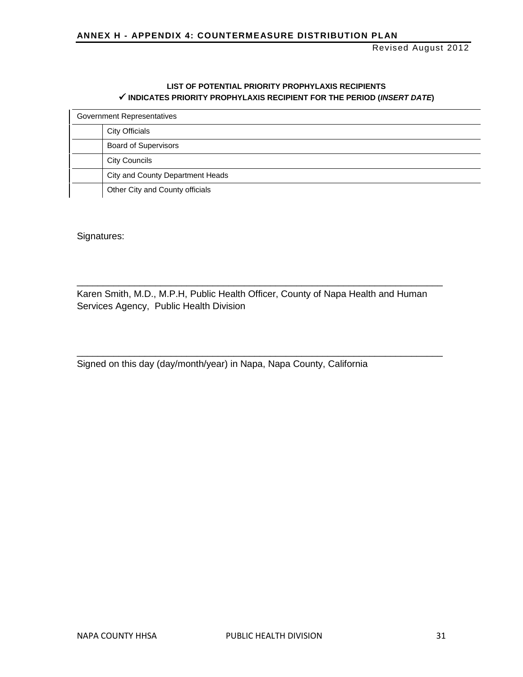#### **LIST OF POTENTIAL PRIORITY PROPHYLAXIS RECIPIENTS INDICATES PRIORITY PROPHYLAXIS RECIPIENT FOR THE PERIOD (***INSERT DATE***)**

| Government Representatives       |  |  |  |  |
|----------------------------------|--|--|--|--|
| <b>City Officials</b>            |  |  |  |  |
| <b>Board of Supervisors</b>      |  |  |  |  |
| <b>City Councils</b>             |  |  |  |  |
| City and County Department Heads |  |  |  |  |
| Other City and County officials  |  |  |  |  |

Signatures:

Karen Smith, M.D., M.P.H, Public Health Officer, County of Napa Health and Human Services Agency, Public Health Division

\_\_\_\_\_\_\_\_\_\_\_\_\_\_\_\_\_\_\_\_\_\_\_\_\_\_\_\_\_\_\_\_\_\_\_\_\_\_\_\_\_\_\_\_\_\_\_\_\_\_\_\_\_\_\_\_\_\_\_\_\_\_\_\_\_\_\_\_\_\_

\_\_\_\_\_\_\_\_\_\_\_\_\_\_\_\_\_\_\_\_\_\_\_\_\_\_\_\_\_\_\_\_\_\_\_\_\_\_\_\_\_\_\_\_\_\_\_\_\_\_\_\_\_\_\_\_\_\_\_\_\_\_\_\_\_\_\_\_\_\_

Signed on this day (day/month/year) in Napa, Napa County, California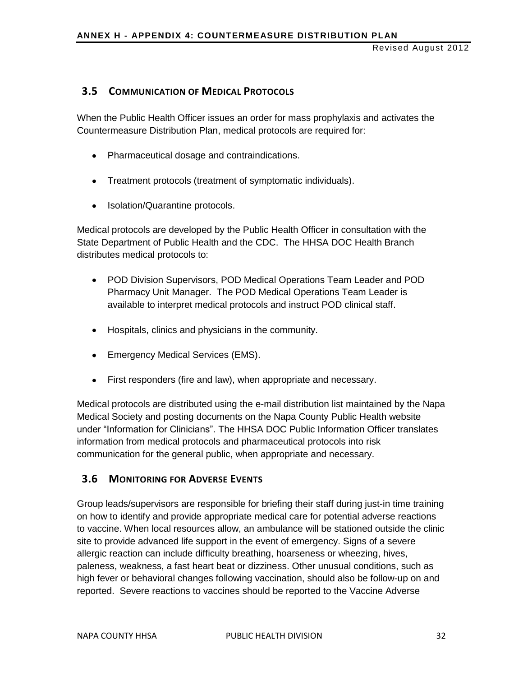#### <span id="page-33-0"></span>**3.5 COMMUNICATION OF MEDICAL PROTOCOLS**

When the Public Health Officer issues an order for mass prophylaxis and activates the Countermeasure Distribution Plan, medical protocols are required for:

- Pharmaceutical dosage and contraindications.
- Treatment protocols (treatment of symptomatic individuals).
- Isolation/Quarantine protocols.

Medical protocols are developed by the Public Health Officer in consultation with the State Department of Public Health and the CDC. The HHSA DOC Health Branch distributes medical protocols to:

- POD Division Supervisors, POD Medical Operations Team Leader and POD Pharmacy Unit Manager. The POD Medical Operations Team Leader is available to interpret medical protocols and instruct POD clinical staff.
- Hospitals, clinics and physicians in the community.
- Emergency Medical Services (EMS).
- First responders (fire and law), when appropriate and necessary.

Medical protocols are distributed using the e-mail distribution list maintained by the Napa Medical Society and posting documents on the Napa County Public Health website under "Information for Clinicians". The HHSA DOC Public Information Officer translates information from medical protocols and pharmaceutical protocols into risk communication for the general public, when appropriate and necessary.

#### <span id="page-33-1"></span>**3.6 MONITORING FOR ADVERSE EVENTS**

Group leads/supervisors are responsible for briefing their staff during just-in time training on how to identify and provide appropriate medical care for potential adverse reactions to vaccine. When local resources allow, an ambulance will be stationed outside the clinic site to provide advanced life support in the event of emergency. Signs of a severe allergic reaction can include difficulty breathing, hoarseness or wheezing, hives, paleness, weakness, a fast heart beat or dizziness. Other unusual conditions, such as high fever or behavioral changes following vaccination, should also be follow-up on and reported. Severe reactions to vaccines should be reported to the Vaccine Adverse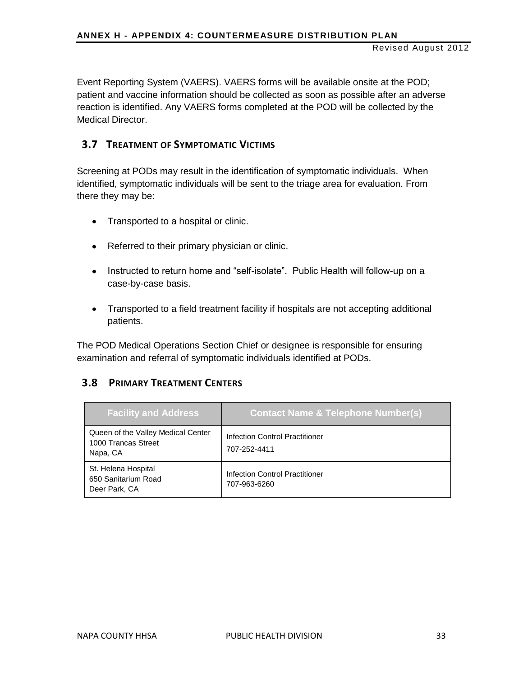Event Reporting System (VAERS). VAERS forms will be available onsite at the POD; patient and vaccine information should be collected as soon as possible after an adverse reaction is identified. Any VAERS forms completed at the POD will be collected by the Medical Director.

#### <span id="page-34-0"></span>**3.7 TREATMENT OF SYMPTOMATIC VICTIMS**

Screening at PODs may result in the identification of symptomatic individuals. When identified, symptomatic individuals will be sent to the triage area for evaluation. From there they may be:

- Transported to a hospital or clinic.
- Referred to their primary physician or clinic.
- Instructed to return home and "self-isolate". Public Health will follow-up on a case-by-case basis.
- Transported to a field treatment facility if hospitals are not accepting additional patients.

The POD Medical Operations Section Chief or designee is responsible for ensuring examination and referral of symptomatic individuals identified at PODs.

#### <span id="page-34-1"></span>**3.8 PRIMARY TREATMENT CENTERS**

| <b>Facility and Address</b>                                           | <b>Contact Name &amp; Telephone Number(s)</b>  |
|-----------------------------------------------------------------------|------------------------------------------------|
| Queen of the Valley Medical Center<br>1000 Trancas Street<br>Napa, CA | Infection Control Practitioner<br>707-252-4411 |
| St. Helena Hospital<br>650 Sanitarium Road<br>Deer Park, CA           | Infection Control Practitioner<br>707-963-6260 |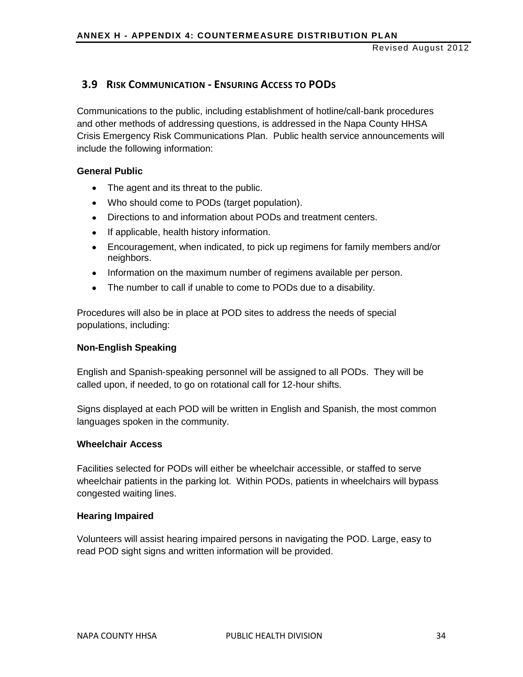#### <span id="page-35-0"></span>**3.9 RISK COMMUNICATION - ENSURING ACCESS TO PODS**

Communications to the public, including establishment of hotline/call-bank procedures and other methods of addressing questions, is addressed in the Napa County HHSA Crisis Emergency Risk Communications Plan. Public health service announcements will include the following information:

#### **General Public**

- The agent and its threat to the public.
- Who should come to PODs (target population).
- Directions to and information about PODs and treatment centers.
- If applicable, health history information.
- Encouragement, when indicated, to pick up regimens for family members and/or neighbors.
- Information on the maximum number of regimens available per person.
- The number to call if unable to come to PODs due to a disability.

Procedures will also be in place at POD sites to address the needs of special populations, including:

#### **Non-English Speaking**

English and Spanish-speaking personnel will be assigned to all PODs. They will be called upon, if needed, to go on rotational call for 12-hour shifts.

Signs displayed at each POD will be written in English and Spanish, the most common languages spoken in the community.

#### **Wheelchair Access**

Facilities selected for PODs will either be wheelchair accessible, or staffed to serve wheelchair patients in the parking lot. Within PODs, patients in wheelchairs will bypass congested waiting lines.

#### **Hearing Impaired**

Volunteers will assist hearing impaired persons in navigating the POD. Large, easy to read POD sight signs and written information will be provided.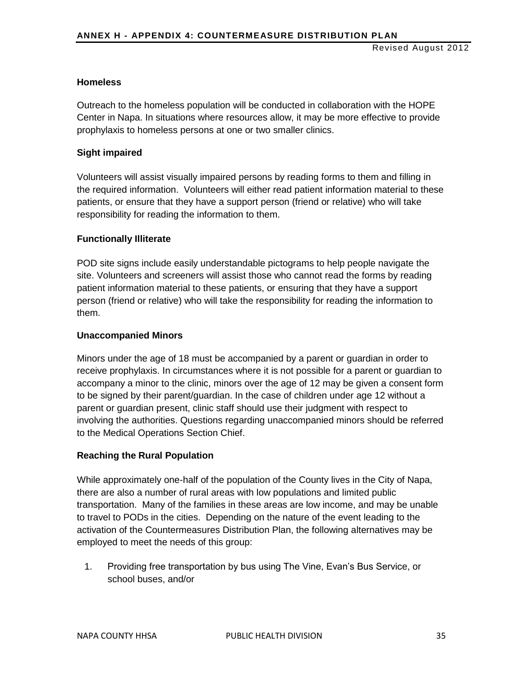#### **Homeless**

Outreach to the homeless population will be conducted in collaboration with the HOPE Center in Napa. In situations where resources allow, it may be more effective to provide prophylaxis to homeless persons at one or two smaller clinics.

#### **Sight impaired**

Volunteers will assist visually impaired persons by reading forms to them and filling in the required information. Volunteers will either read patient information material to these patients, or ensure that they have a support person (friend or relative) who will take responsibility for reading the information to them.

#### **Functionally Illiterate**

POD site signs include easily understandable pictograms to help people navigate the site. Volunteers and screeners will assist those who cannot read the forms by reading patient information material to these patients, or ensuring that they have a support person (friend or relative) who will take the responsibility for reading the information to them.

#### **Unaccompanied Minors**

Minors under the age of 18 must be accompanied by a parent or guardian in order to receive prophylaxis. In circumstances where it is not possible for a parent or guardian to accompany a minor to the clinic, minors over the age of 12 may be given a consent form to be signed by their parent/guardian. In the case of children under age 12 without a parent or guardian present, clinic staff should use their judgment with respect to involving the authorities. Questions regarding unaccompanied minors should be referred to the Medical Operations Section Chief.

#### **Reaching the Rural Population**

While approximately one-half of the population of the County lives in the City of Napa, there are also a number of rural areas with low populations and limited public transportation. Many of the families in these areas are low income, and may be unable to travel to PODs in the cities. Depending on the nature of the event leading to the activation of the Countermeasures Distribution Plan, the following alternatives may be employed to meet the needs of this group:

1. Providing free transportation by bus using The Vine, Evan's Bus Service, or school buses, and/or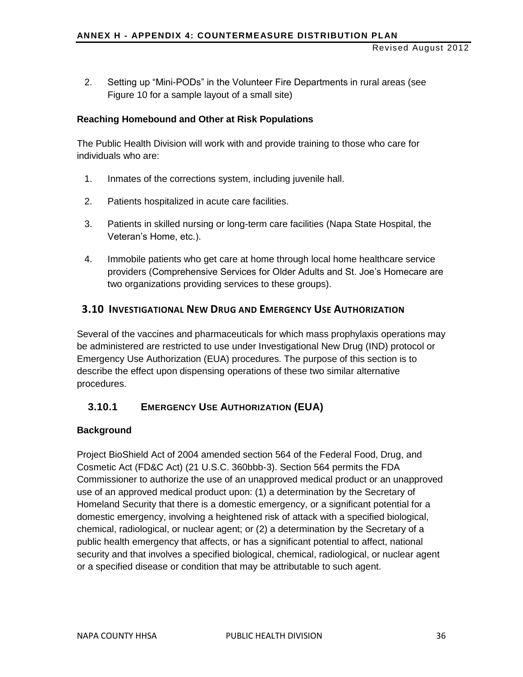2. Setting up "Mini-PODs" in the Volunteer Fire Departments in rural areas (see Figure 10 for a sample layout of a small site)

#### **Reaching Homebound and Other at Risk Populations**

The Public Health Division will work with and provide training to those who care for individuals who are:

- 1. Inmates of the corrections system, including juvenile hall.
- 2. Patients hospitalized in acute care facilities.
- 3. Patients in skilled nursing or long-term care facilities (Napa State Hospital, the Veteran's Home, etc.).
- 4. Immobile patients who get care at home through local home healthcare service providers (Comprehensive Services for Older Adults and St. Joe's Homecare are two organizations providing services to these groups).

#### <span id="page-37-0"></span>**3.10 INVESTIGATIONAL NEW DRUG AND EMERGENCY USE AUTHORIZATION**

Several of the vaccines and pharmaceuticals for which mass prophylaxis operations may be administered are restricted to use under Investigational New Drug (IND) protocol or Emergency Use Authorization (EUA) procedures. The purpose of this section is to describe the effect upon dispensing operations of these two similar alternative procedures.

#### <span id="page-37-1"></span>**3.10.1 EMERGENCY USE AUTHORIZATION (EUA)**

#### **Background**

Project BioShield Act of 2004 amended section 564 of the Federal Food, Drug, and Cosmetic Act (FD&C Act) (21 U.S.C. 360bbb-3). Section 564 permits the FDA Commissioner to authorize the use of an unapproved medical product or an unapproved use of an approved medical product upon: (1) a determination by the Secretary of Homeland Security that there is a domestic emergency, or a significant potential for a domestic emergency, involving a heightened risk of attack with a specified biological, chemical, radiological, or nuclear agent; or (2) a determination by the Secretary of a public health emergency that affects, or has a significant potential to affect, national security and that involves a specified biological, chemical, radiological, or nuclear agent or a specified disease or condition that may be attributable to such agent.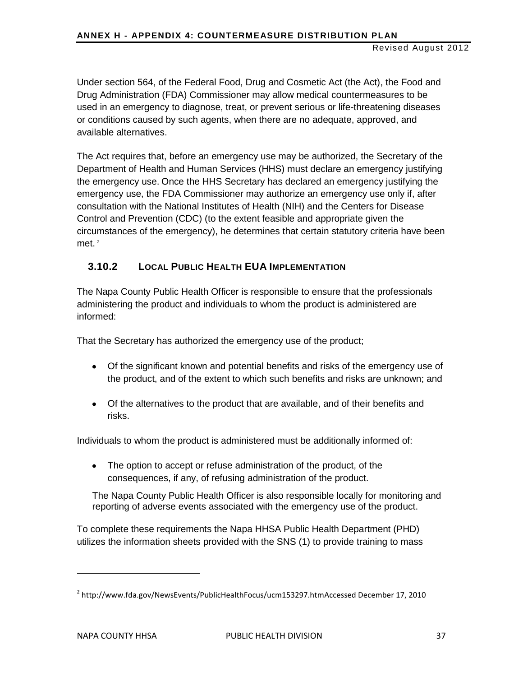Under section 564, of the Federal Food, Drug and Cosmetic Act (the Act), the Food and Drug Administration (FDA) Commissioner may allow medical countermeasures to be used in an emergency to diagnose, treat, or prevent serious or life-threatening diseases or conditions caused by such agents, when there are no adequate, approved, and available alternatives.

The Act requires that, before an emergency use may be authorized, the Secretary of the Department of Health and Human Services (HHS) must declare an emergency justifying the emergency use. Once the HHS Secretary has declared an emergency justifying the emergency use, the FDA Commissioner may authorize an emergency use only if, after consultation with the National Institutes of Health (NIH) and the Centers for Disease Control and Prevention (CDC) (to the extent feasible and appropriate given the circumstances of the emergency), he determines that certain statutory criteria have been met. $2$ 

#### <span id="page-38-0"></span>**3.10.2 LOCAL PUBLIC HEALTH EUA IMPLEMENTATION**

The Napa County Public Health Officer is responsible to ensure that the professionals administering the product and individuals to whom the product is administered are informed:

That the Secretary has authorized the emergency use of the product;

- Of the significant known and potential benefits and risks of the emergency use of the product, and of the extent to which such benefits and risks are unknown; and
- Of the alternatives to the product that are available, and of their benefits and risks.

Individuals to whom the product is administered must be additionally informed of:

• The option to accept or refuse administration of the product, of the consequences, if any, of refusing administration of the product.

The Napa County Public Health Officer is also responsible locally for monitoring and reporting of adverse events associated with the emergency use of the product.

To complete these requirements the Napa HHSA Public Health Department (PHD) utilizes the information sheets provided with the SNS (1) to provide training to mass

 $\overline{\phantom{a}}$ 

<sup>2</sup> http://www.fda.gov/NewsEvents/PublicHealthFocus/ucm153297.htmAccessed December 17, 2010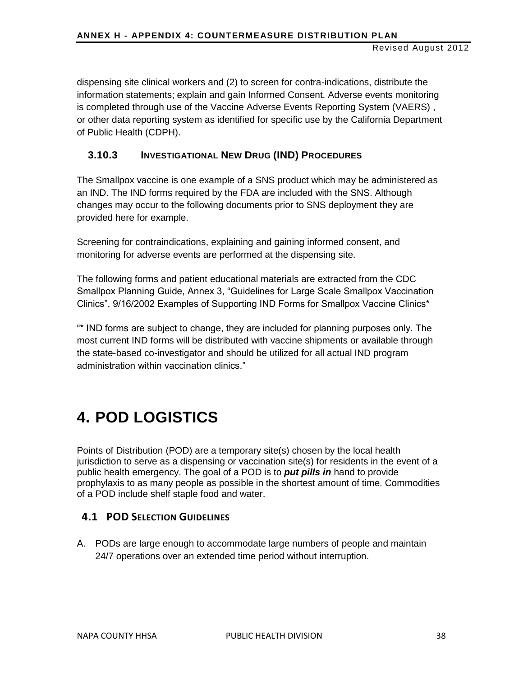dispensing site clinical workers and (2) to screen for contra-indications, distribute the information statements; explain and gain Informed Consent. Adverse events monitoring is completed through use of the Vaccine Adverse Events Reporting System (VAERS) , or other data reporting system as identified for specific use by the California Department of Public Health (CDPH).

#### <span id="page-39-0"></span>**3.10.3 INVESTIGATIONAL NEW DRUG (IND) PROCEDURES**

The Smallpox vaccine is one example of a SNS product which may be administered as an IND. The IND forms required by the FDA are included with the SNS. Although changes may occur to the following documents prior to SNS deployment they are provided here for example.

Screening for contraindications, explaining and gaining informed consent, and monitoring for adverse events are performed at the dispensing site.

The following forms and patient educational materials are extracted from the CDC Smallpox Planning Guide, Annex 3, "Guidelines for Large Scale Smallpox Vaccination Clinics", 9/16/2002 Examples of Supporting IND Forms for Smallpox Vaccine Clinics\*

"\* IND forms are subject to change, they are included for planning purposes only. The most current IND forms will be distributed with vaccine shipments or available through the state-based co-investigator and should be utilized for all actual IND program administration within vaccination clinics."

# <span id="page-39-1"></span>**4. POD LOGISTICS**

Points of Distribution (POD) are a temporary site(s) chosen by the local health jurisdiction to serve as a dispensing or vaccination site(s) for residents in the event of a public health emergency. The goal of a POD is to *put pills in* hand to provide prophylaxis to as many people as possible in the shortest amount of time. Commodities of a POD include shelf staple food and water.

#### <span id="page-39-2"></span>**4.1 POD SELECTION GUIDELINES**

A. PODs are large enough to accommodate large numbers of people and maintain 24/7 operations over an extended time period without interruption.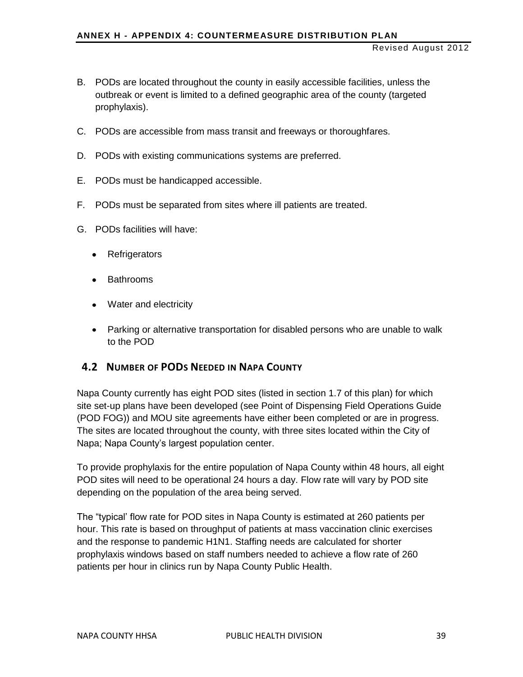- B. PODs are located throughout the county in easily accessible facilities, unless the outbreak or event is limited to a defined geographic area of the county (targeted prophylaxis).
- C. PODs are accessible from mass transit and freeways or thoroughfares.
- D. PODs with existing communications systems are preferred.
- E. PODs must be handicapped accessible.
- F. PODs must be separated from sites where ill patients are treated.
- G. PODs facilities will have:
	- Refrigerators
	- Bathrooms
	- Water and electricity
	- Parking or alternative transportation for disabled persons who are unable to walk to the POD

#### <span id="page-40-0"></span>**4.2 NUMBER OF PODS NEEDED IN NAPA COUNTY**

Napa County currently has eight POD sites (listed in section 1.7 of this plan) for which site set-up plans have been developed (see Point of Dispensing Field Operations Guide (POD FOG)) and MOU site agreements have either been completed or are in progress. The sites are located throughout the county, with three sites located within the City of Napa; Napa County's largest population center.

To provide prophylaxis for the entire population of Napa County within 48 hours, all eight POD sites will need to be operational 24 hours a day. Flow rate will vary by POD site depending on the population of the area being served.

The "typical' flow rate for POD sites in Napa County is estimated at 260 patients per hour. This rate is based on throughput of patients at mass vaccination clinic exercises and the response to pandemic H1N1. Staffing needs are calculated for shorter prophylaxis windows based on staff numbers needed to achieve a flow rate of 260 patients per hour in clinics run by Napa County Public Health.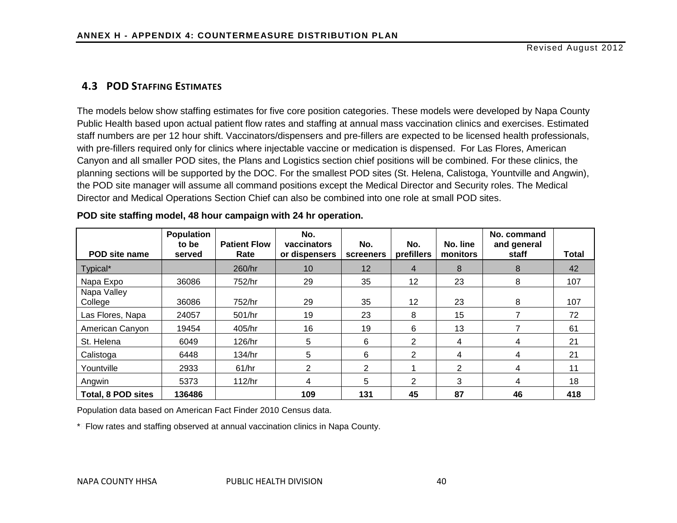#### **4.3 POD STAFFING ESTIMATES**

The models below show staffing estimates for five core position categories. These models were developed by Napa County Public Health based upon actual patient flow rates and staffing at annual mass vaccination clinics and exercises. Estimated staff numbers are per 12 hour shift. Vaccinators/dispensers and pre-fillers are expected to be licensed health professionals, with pre-fillers required only for clinics where injectable vaccine or medication is dispensed. For Las Flores, American Canyon and all smaller POD sites, the Plans and Logistics section chief positions will be combined. For these clinics, the planning sections will be supported by the DOC. For the smallest POD sites (St. Helena, Calistoga, Yountville and Angwin), the POD site manager will assume all command positions except the Medical Director and Security roles. The Medical Director and Medical Operations Section Chief can also be combined into one role at small POD sites.

<span id="page-41-0"></span>

| POD site name             | <b>Population</b><br>to be<br>served | <b>Patient Flow</b><br>Rate | No.<br>vaccinators<br>or dispensers | No.<br>screeners | No.<br>prefillers | No. line<br>monitors | No. command<br>and general<br>staff | <b>Total</b> |
|---------------------------|--------------------------------------|-----------------------------|-------------------------------------|------------------|-------------------|----------------------|-------------------------------------|--------------|
| Typical*                  |                                      | 260/hr                      | 10 <sup>°</sup>                     | 12               | 4                 | 8                    | 8                                   | 42           |
| Napa Expo                 | 36086                                | 752/hr                      | 29                                  | 35               | 12                | 23                   | 8                                   | 107          |
| Napa Valley<br>College    | 36086                                | 752/hr                      | 29                                  | 35               | 12                | 23                   | 8                                   | 107          |
| Las Flores, Napa          | 24057                                | 501/hr                      | 19                                  | 23               | 8                 | 15                   |                                     | 72           |
| American Canyon           | 19454                                | 405/hr                      | 16                                  | 19               | 6                 | 13                   |                                     | 61           |
| St. Helena                | 6049                                 | 126/hr                      | 5                                   | 6                | $\overline{2}$    | 4                    | 4                                   | 21           |
| Calistoga                 | 6448                                 | 134/hr                      | 5                                   | 6                | $\overline{2}$    | 4                    | 4                                   | 21           |
| Yountville                | 2933                                 | 61/hr                       | 2                                   | 2                |                   | 2                    | 4                                   | 11           |
| Angwin                    | 5373                                 | 112/hr                      | 4                                   | 5                | 2                 | 3                    | 4                                   | 18           |
| <b>Total, 8 POD sites</b> | 136486                               |                             | 109                                 | 131              | 45                | 87                   | 46                                  | 418          |

#### **POD site staffing model, 48 hour campaign with 24 hr operation.**

Population data based on American Fact Finder 2010 Census data.

\*FFlow rates and staffing observed at annual vaccination clinics in Napa County.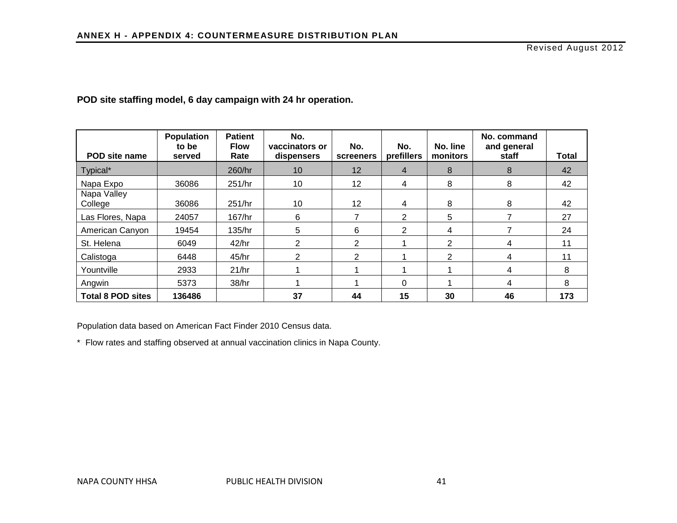**POD site staffing model, 6 day campaign with 24 hr operation.**

|                          | <b>Population</b><br>to be | <b>Patient</b><br><b>Flow</b> | No.<br>vaccinators or | No.       | No.            | No. line       | No. command<br>and general |              |
|--------------------------|----------------------------|-------------------------------|-----------------------|-----------|----------------|----------------|----------------------------|--------------|
| POD site name            | served                     | Rate                          | dispensers            | screeners | prefillers     | monitors       | staff                      | <b>Total</b> |
| Typical*                 |                            | 260/hr                        | 10 <sup>°</sup>       | 12        | $\overline{4}$ | 8              | 8                          | 42           |
| Napa Expo                | 36086                      | 251/hr                        | 10                    | 12        | 4              | 8              | 8                          | 42           |
| Napa Valley              |                            |                               |                       |           |                |                |                            |              |
| College                  | 36086                      | 251/hr                        | 10                    | 12        | 4              | 8              | 8                          | 42           |
| Las Flores, Napa         | 24057                      | 167/hr                        | 6                     | 7         | $\overline{2}$ | 5              |                            | 27           |
| American Canyon          | 19454                      | 135/hr                        | 5                     | 6         | $\overline{2}$ | 4              |                            | 24           |
| St. Helena               | 6049                       | 42/hr                         | 2                     | 2         |                | $\overline{2}$ | 4                          | 11           |
| Calistoga                | 6448                       | 45/hr                         | 2                     | 2         |                | 2              | 4                          | 11           |
| Yountville               | 2933                       | 21/hr                         |                       |           |                |                | 4                          | 8            |
| Angwin                   | 5373                       | 38/hr                         |                       |           | 0              |                | 4                          | 8            |
| <b>Total 8 POD sites</b> | 136486                     |                               | 37                    | 44        | 15             | 30             | 46                         | 173          |

Population data based on American Fact Finder 2010 Census data.

\*FFlow rates and staffing observed at annual vaccination clinics in Napa County.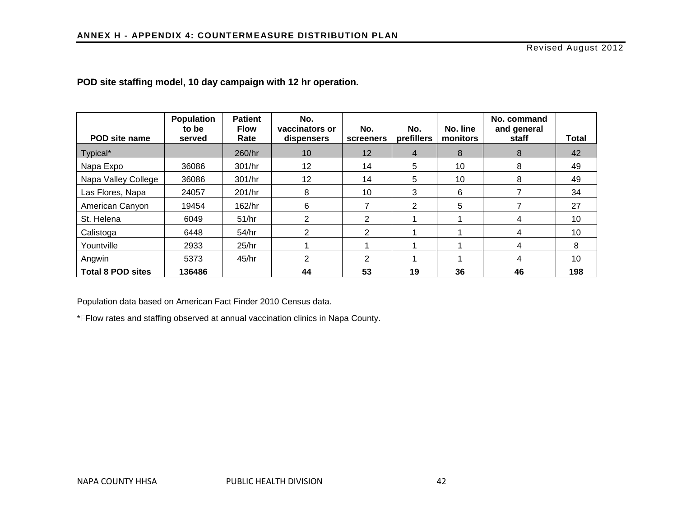| POD site name            | <b>Population</b><br>to be<br>served | <b>Patient</b><br><b>Flow</b><br>Rate | No.<br>vaccinators or<br>dispensers | No.<br><b>screeners</b> | No.<br>prefillers | No. line<br>monitors | No. command<br>and general<br>staff | <b>Total</b> |
|--------------------------|--------------------------------------|---------------------------------------|-------------------------------------|-------------------------|-------------------|----------------------|-------------------------------------|--------------|
| Typical*                 |                                      | 260/hr                                | 10                                  | 12                      | 4                 | 8                    | 8                                   | 42           |
| Napa Expo                | 36086                                | 301/hr                                | 12                                  | 14                      | 5                 | 10                   | 8                                   | 49           |
| Napa Valley College      | 36086                                | 301/hr                                | 12                                  | 14                      | 5                 | 10                   | 8                                   | 49           |
| Las Flores, Napa         | 24057                                | 201/hr                                | 8                                   | 10                      | 3                 | 6                    |                                     | 34           |
| American Canyon          | 19454                                | 162/hr                                | 6                                   | 7                       | 2                 | 5                    |                                     | 27           |
| St. Helena               | 6049                                 | 51/hr                                 | $\overline{2}$                      | $\overline{2}$          |                   |                      | 4                                   | 10           |
| Calistoga                | 6448                                 | 54/hr                                 | $\overline{2}$                      | $\overline{2}$          |                   |                      | 4                                   | 10           |
| Yountville               | 2933                                 | 25/hr                                 |                                     |                         |                   |                      | 4                                   | 8            |
| Angwin                   | 5373                                 | 45/hr                                 | $\overline{2}$                      | $\overline{2}$          |                   |                      | 4                                   | 10           |
| <b>Total 8 POD sites</b> | 136486                               |                                       | 44                                  | 53                      | 19                | 36                   | 46                                  | 198          |

**POD site staffing model, 10 day campaign with 12 hr operation.**

Population data based on American Fact Finder 2010 Census data.

\*FFlow rates and staffing observed at annual vaccination clinics in Napa County.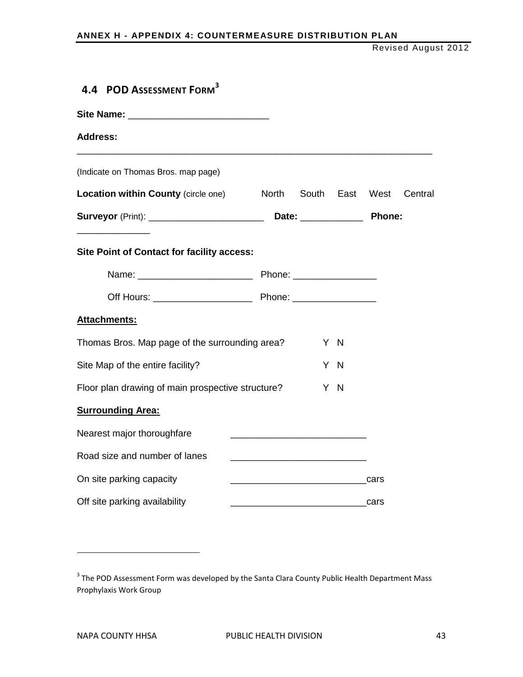<span id="page-44-0"></span>

| 4.4 POD ASSESSMENT FORM <sup>3</sup>              |              |            |     |        |         |
|---------------------------------------------------|--------------|------------|-----|--------|---------|
|                                                   |              |            |     |        |         |
| <b>Address:</b>                                   |              |            |     |        |         |
| (Indicate on Thomas Bros. map page)               |              |            |     |        |         |
| Location within County (circle one)               | <b>North</b> | South East |     | West   | Central |
|                                                   |              |            |     | Phone: |         |
| <b>Site Point of Contact for facility access:</b> |              |            |     |        |         |
|                                                   |              |            |     |        |         |
|                                                   |              |            |     |        |         |
| <b>Attachments:</b>                               |              |            |     |        |         |
| Thomas Bros. Map page of the surrounding area?    |              |            | Y N |        |         |
| Site Map of the entire facility?                  |              |            | Y N |        |         |
| Floor plan drawing of main prospective structure? |              |            | Y N |        |         |
| <b>Surrounding Area:</b>                          |              |            |     |        |         |
| Nearest major thoroughfare                        |              |            |     |        |         |
| Road size and number of lanes                     |              |            |     |        |         |
| On site parking capacity                          |              |            |     |        |         |
| Off site parking availability                     |              |            |     |        |         |

 $\overline{a}$ 

 $3$  The POD Assessment Form was developed by the Santa Clara County Public Health Department Mass Prophylaxis Work Group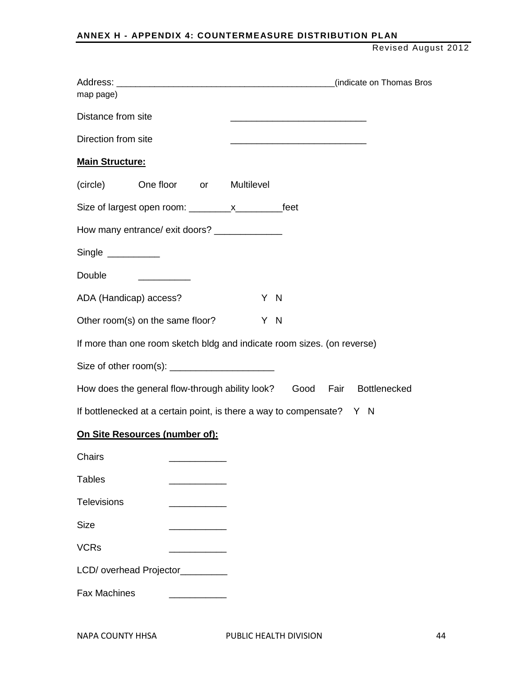|                        |                                                                                                                       | (indicate on Thomas Bros                                                  |
|------------------------|-----------------------------------------------------------------------------------------------------------------------|---------------------------------------------------------------------------|
| map page)              |                                                                                                                       |                                                                           |
| Distance from site     |                                                                                                                       |                                                                           |
| Direction from site    |                                                                                                                       |                                                                           |
| <b>Main Structure:</b> |                                                                                                                       |                                                                           |
|                        | (circle) One floor or                                                                                                 | Multilevel                                                                |
|                        | Size of largest open room: _____________ x_______________ feet                                                        |                                                                           |
|                        | How many entrance/ exit doors? _______________                                                                        |                                                                           |
|                        |                                                                                                                       |                                                                           |
| Double                 | <u> Liston de la construcción de la construcción de la construcción de la construcción de la construcción de la c</u> |                                                                           |
| ADA (Handicap) access? |                                                                                                                       | Y N                                                                       |
|                        | Other room(s) on the same floor?                                                                                      | Y N                                                                       |
|                        |                                                                                                                       | If more than one room sketch bldg and indicate room sizes. (on reverse)   |
|                        |                                                                                                                       |                                                                           |
|                        | How does the general flow-through ability look?                                                                       | Fair Bottlenecked<br>Good                                                 |
|                        |                                                                                                                       | If bottlenecked at a certain point, is there a way to compensate? $Y \ N$ |
|                        | On Site Resources (number of):                                                                                        |                                                                           |
| Chairs                 |                                                                                                                       |                                                                           |
| <b>Tables</b>          |                                                                                                                       |                                                                           |
| <b>Televisions</b>     |                                                                                                                       |                                                                           |
| <b>Size</b>            |                                                                                                                       |                                                                           |
| <b>VCRs</b>            | <u> 1980 - Johann Barnett, fransk politiker</u>                                                                       |                                                                           |
|                        | LCD/ overhead Projector_________                                                                                      |                                                                           |
| <b>Fax Machines</b>    |                                                                                                                       |                                                                           |
|                        |                                                                                                                       |                                                                           |
| NAPA COUNTY HHSA       |                                                                                                                       | PUBLIC HEALTH DIVISION<br>44                                              |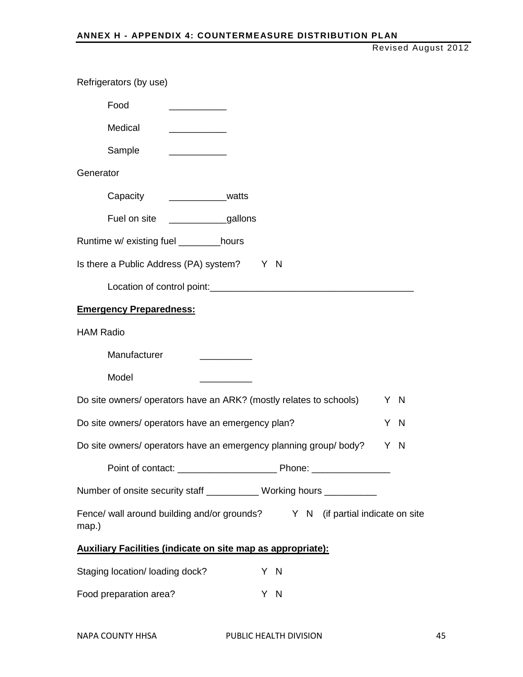| Refrigerators (by use)                                                                                                          |     |  |
|---------------------------------------------------------------------------------------------------------------------------------|-----|--|
| Food                                                                                                                            |     |  |
| Medical                                                                                                                         |     |  |
| Sample<br><u> Liston de la construcción de la construcción de la construcción de la construcción de la construcción de la c</u> |     |  |
| Generator                                                                                                                       |     |  |
| Capacity ______________watts                                                                                                    |     |  |
| Fuel on site ________________gallons                                                                                            |     |  |
| Runtime w/ existing fuel __________hours                                                                                        |     |  |
| Is there a Public Address (PA) system? Y N                                                                                      |     |  |
|                                                                                                                                 |     |  |
| <b>Emergency Preparedness:</b>                                                                                                  |     |  |
| <b>HAM Radio</b>                                                                                                                |     |  |
| Manufacturer                                                                                                                    |     |  |
| Model                                                                                                                           |     |  |
| Do site owners/ operators have an ARK? (mostly relates to schools)                                                              | Y N |  |
| Do site owners/ operators have an emergency plan?                                                                               | Y N |  |
| Do site owners/ operators have an emergency planning group/body?                                                                | Y N |  |
|                                                                                                                                 |     |  |
| Number of onsite security staff ____________ Working hours __________                                                           |     |  |
| Fence/ wall around building and/or grounds? Y N (if partial indicate on site<br>map.)                                           |     |  |
| <b>Auxiliary Facilities (indicate on site map as appropriate):</b>                                                              |     |  |
| Staging location/ loading dock?<br>Y N                                                                                          |     |  |
| Food preparation area?<br>Y N                                                                                                   |     |  |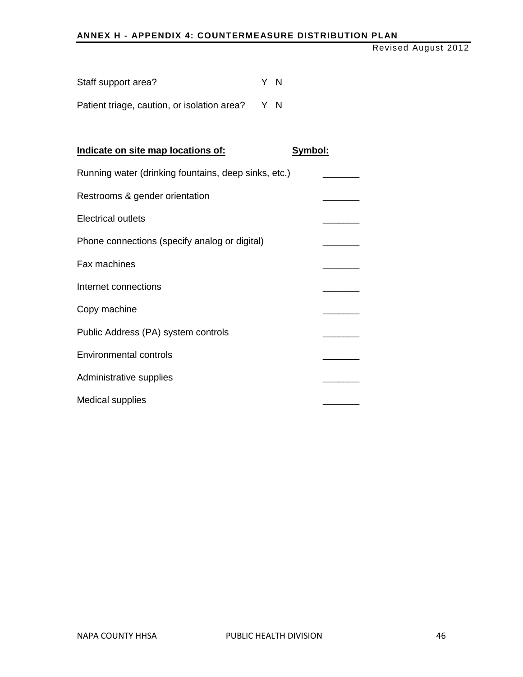| Staff support area?                         | Y N |  |
|---------------------------------------------|-----|--|
| Patient triage, caution, or isolation area? | YN  |  |

| Indicate on site map locations of:                   | Symbol: |
|------------------------------------------------------|---------|
| Running water (drinking fountains, deep sinks, etc.) |         |
| Restrooms & gender orientation                       |         |
| <b>Electrical outlets</b>                            |         |
| Phone connections (specify analog or digital)        |         |
| Fax machines                                         |         |
| Internet connections                                 |         |
| Copy machine                                         |         |
| Public Address (PA) system controls                  |         |
| <b>Environmental controls</b>                        |         |
| Administrative supplies                              |         |
| Medical supplies                                     |         |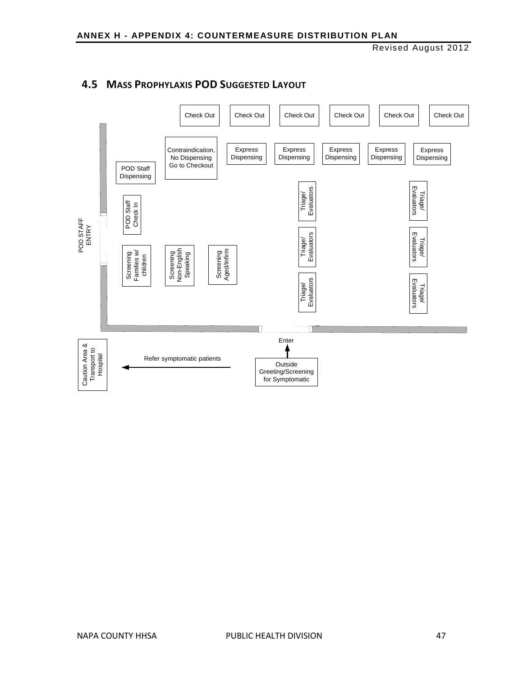

#### <span id="page-48-0"></span>**4.5 MASS PROPHYLAXIS POD SUGGESTED LAYOUT**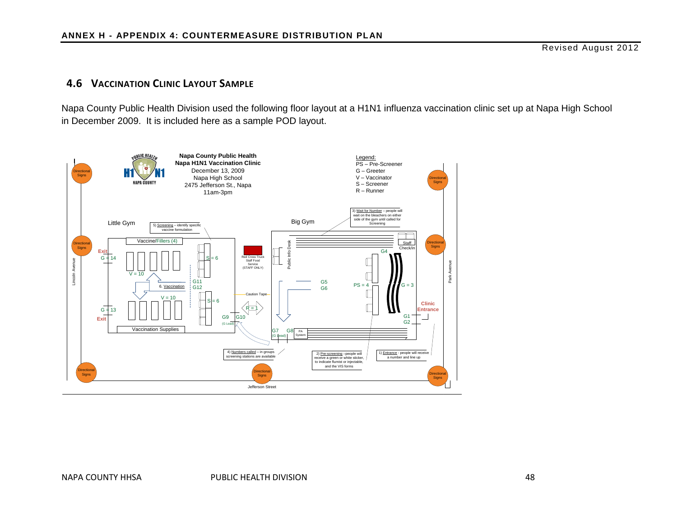#### **4.6 VACCINATION CLINIC LAYOUT SAMPLE**

Napa County Public Health Division used the following floor layout at a H1N1 influenza vaccination clinic set up at Napa High School in December 2009. It is included here as a sample POD layout.

<span id="page-49-0"></span>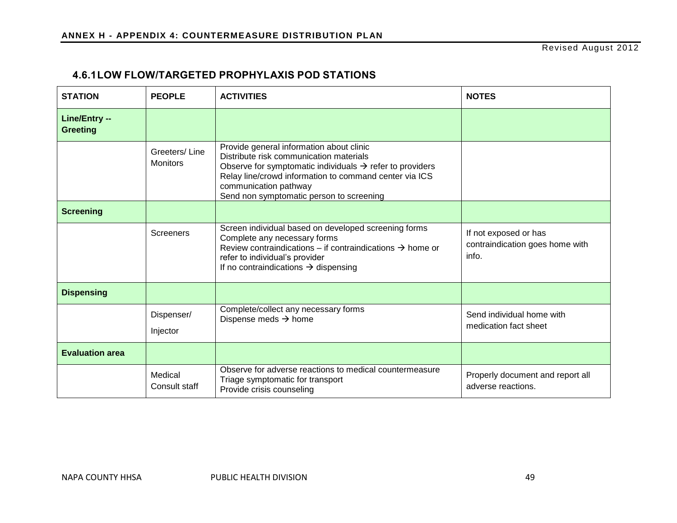#### **4.6.1LOW FLOW/TARGETED PROPHYLAXIS POD STATIONS**

<span id="page-50-0"></span>

| <b>STATION</b>                   | <b>PEOPLE</b>                    | <b>ACTIVITIES</b>                                                                                                                                                                                                                                                                          | <b>NOTES</b>                                                      |
|----------------------------------|----------------------------------|--------------------------------------------------------------------------------------------------------------------------------------------------------------------------------------------------------------------------------------------------------------------------------------------|-------------------------------------------------------------------|
| Line/Entry --<br><b>Greeting</b> |                                  |                                                                                                                                                                                                                                                                                            |                                                                   |
|                                  | Greeters/Line<br><b>Monitors</b> | Provide general information about clinic<br>Distribute risk communication materials<br>Observe for symptomatic individuals $\rightarrow$ refer to providers<br>Relay line/crowd information to command center via ICS<br>communication pathway<br>Send non symptomatic person to screening |                                                                   |
| <b>Screening</b>                 |                                  |                                                                                                                                                                                                                                                                                            |                                                                   |
|                                  | <b>Screeners</b>                 | Screen individual based on developed screening forms<br>Complete any necessary forms<br>Review contraindications – if contraindications $\rightarrow$ home or<br>refer to individual's provider<br>If no contraindications $\rightarrow$ dispensing                                        | If not exposed or has<br>contraindication goes home with<br>info. |
| <b>Dispensing</b>                |                                  |                                                                                                                                                                                                                                                                                            |                                                                   |
|                                  | Dispenser/<br>Injector           | Complete/collect any necessary forms<br>Dispense meds $\rightarrow$ home                                                                                                                                                                                                                   | Send individual home with<br>medication fact sheet                |
| <b>Evaluation area</b>           |                                  |                                                                                                                                                                                                                                                                                            |                                                                   |
|                                  | Medical<br>Consult staff         | Observe for adverse reactions to medical countermeasure<br>Triage symptomatic for transport<br>Provide crisis counseling                                                                                                                                                                   | Properly document and report all<br>adverse reactions.            |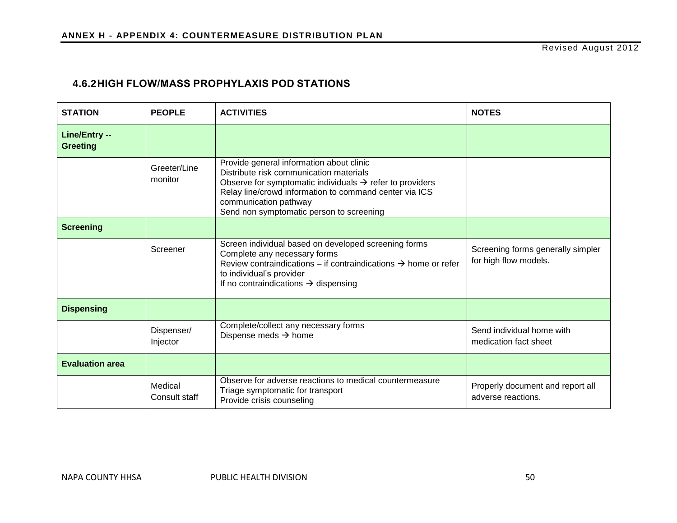#### **4.6.2HIGH FLOW/MASS PROPHYLAXIS POD STATIONS**

<span id="page-51-0"></span>

| <b>STATION</b>                   | <b>PEOPLE</b>            | <b>ACTIVITIES</b>                                                                                                                                                                                                                                                                          | <b>NOTES</b>                                               |
|----------------------------------|--------------------------|--------------------------------------------------------------------------------------------------------------------------------------------------------------------------------------------------------------------------------------------------------------------------------------------|------------------------------------------------------------|
| Line/Entry --<br><b>Greeting</b> |                          |                                                                                                                                                                                                                                                                                            |                                                            |
|                                  | Greeter/Line<br>monitor  | Provide general information about clinic<br>Distribute risk communication materials<br>Observe for symptomatic individuals $\rightarrow$ refer to providers<br>Relay line/crowd information to command center via ICS<br>communication pathway<br>Send non symptomatic person to screening |                                                            |
| <b>Screening</b>                 |                          |                                                                                                                                                                                                                                                                                            |                                                            |
|                                  | Screener                 | Screen individual based on developed screening forms<br>Complete any necessary forms<br>Review contraindications – if contraindications $\rightarrow$ home or refer<br>to individual's provider<br>If no contraindications $\rightarrow$ dispensing                                        | Screening forms generally simpler<br>for high flow models. |
| <b>Dispensing</b>                |                          |                                                                                                                                                                                                                                                                                            |                                                            |
|                                  | Dispenser/<br>Injector   | Complete/collect any necessary forms<br>Dispense meds $\rightarrow$ home                                                                                                                                                                                                                   | Send individual home with<br>medication fact sheet         |
| <b>Evaluation area</b>           |                          |                                                                                                                                                                                                                                                                                            |                                                            |
|                                  | Medical<br>Consult staff | Observe for adverse reactions to medical countermeasure<br>Triage symptomatic for transport<br>Provide crisis counseling                                                                                                                                                                   | Properly document and report all<br>adverse reactions.     |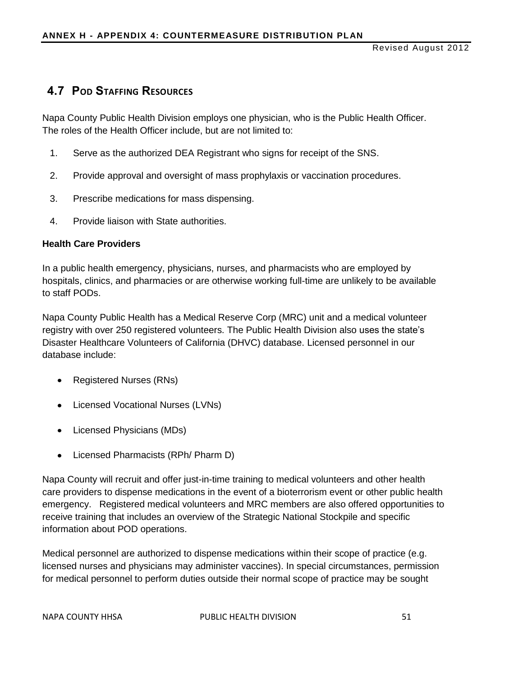#### <span id="page-52-0"></span>**4.7 POD STAFFING RESOURCES**

Napa County Public Health Division employs one physician, who is the Public Health Officer. The roles of the Health Officer include, but are not limited to:

- 1. Serve as the authorized DEA Registrant who signs for receipt of the SNS.
- 2. Provide approval and oversight of mass prophylaxis or vaccination procedures.
- 3. Prescribe medications for mass dispensing.
- 4. Provide liaison with State authorities.

#### **Health Care Providers**

In a public health emergency, physicians, nurses, and pharmacists who are employed by hospitals, clinics, and pharmacies or are otherwise working full-time are unlikely to be available to staff PODs.

Napa County Public Health has a Medical Reserve Corp (MRC) unit and a medical volunteer registry with over 250 registered volunteers. The Public Health Division also uses the state's Disaster Healthcare Volunteers of California (DHVC) database. Licensed personnel in our database include:

- Registered Nurses (RNs)
- Licensed Vocational Nurses (LVNs)
- Licensed Physicians (MDs)
- $\bullet$ Licensed Pharmacists (RPh/ Pharm D)

Napa County will recruit and offer just-in-time training to medical volunteers and other health care providers to dispense medications in the event of a bioterrorism event or other public health emergency. Registered medical volunteers and MRC members are also offered opportunities to receive training that includes an overview of the Strategic National Stockpile and specific information about POD operations.

Medical personnel are authorized to dispense medications within their scope of practice (e.g. licensed nurses and physicians may administer vaccines). In special circumstances, permission for medical personnel to perform duties outside their normal scope of practice may be sought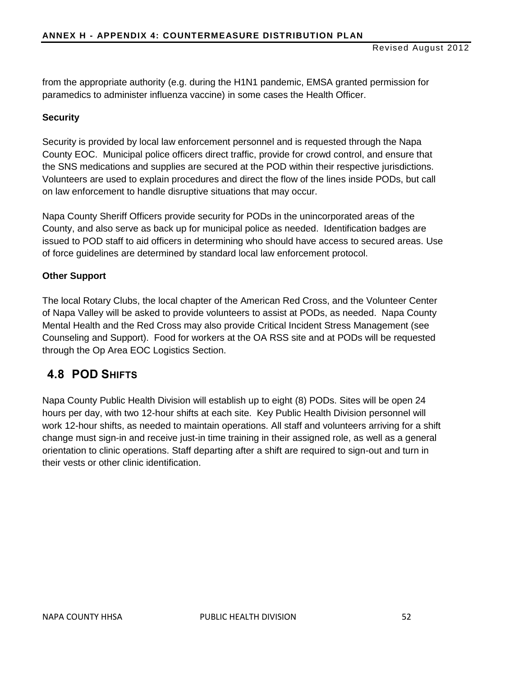from the appropriate authority (e.g. during the H1N1 pandemic, EMSA granted permission for paramedics to administer influenza vaccine) in some cases the Health Officer.

#### **Security**

Security is provided by local law enforcement personnel and is requested through the Napa County EOC. Municipal police officers direct traffic, provide for crowd control, and ensure that the SNS medications and supplies are secured at the POD within their respective jurisdictions. Volunteers are used to explain procedures and direct the flow of the lines inside PODs, but call on law enforcement to handle disruptive situations that may occur.

Napa County Sheriff Officers provide security for PODs in the unincorporated areas of the County, and also serve as back up for municipal police as needed. Identification badges are issued to POD staff to aid officers in determining who should have access to secured areas. Use of force guidelines are determined by standard local law enforcement protocol.

#### **Other Support**

The local Rotary Clubs, the local chapter of the American Red Cross, and the Volunteer Center of Napa Valley will be asked to provide volunteers to assist at PODs, as needed. Napa County Mental Health and the Red Cross may also provide Critical Incident Stress Management (see Counseling and Support). Food for workers at the OA RSS site and at PODs will be requested through the Op Area EOC Logistics Section.

#### <span id="page-53-0"></span>**4.8 POD SHIFTS**

Napa County Public Health Division will establish up to eight (8) PODs. Sites will be open 24 hours per day, with two 12-hour shifts at each site. Key Public Health Division personnel will work 12-hour shifts, as needed to maintain operations. All staff and volunteers arriving for a shift change must sign-in and receive just-in time training in their assigned role, as well as a general orientation to clinic operations. Staff departing after a shift are required to sign-out and turn in their vests or other clinic identification.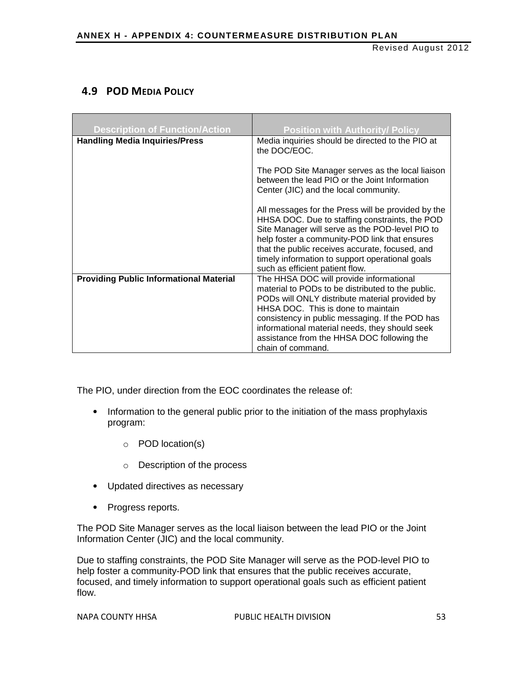#### <span id="page-54-0"></span>**4.9 POD MEDIA POLICY**

| <b>Description of Function/Action</b>          | <b>Position with Authority/ Policy</b>                                                                                                                                                                                                                                                                                                                       |
|------------------------------------------------|--------------------------------------------------------------------------------------------------------------------------------------------------------------------------------------------------------------------------------------------------------------------------------------------------------------------------------------------------------------|
| <b>Handling Media Inquiries/Press</b>          | Media inquiries should be directed to the PIO at<br>the DOC/EOC.                                                                                                                                                                                                                                                                                             |
|                                                | The POD Site Manager serves as the local liaison<br>between the lead PIO or the Joint Information<br>Center (JIC) and the local community.                                                                                                                                                                                                                   |
|                                                | All messages for the Press will be provided by the<br>HHSA DOC. Due to staffing constraints, the POD<br>Site Manager will serve as the POD-level PIO to<br>help foster a community-POD link that ensures<br>that the public receives accurate, focused, and<br>timely information to support operational goals<br>such as efficient patient flow.            |
| <b>Providing Public Informational Material</b> | The HHSA DOC will provide informational<br>material to PODs to be distributed to the public.<br>PODs will ONLY distribute material provided by<br>HHSA DOC. This is done to maintain<br>consistency in public messaging. If the POD has<br>informational material needs, they should seek<br>assistance from the HHSA DOC following the<br>chain of command. |

The PIO, under direction from the EOC coordinates the release of:

- Information to the general public prior to the initiation of the mass prophylaxis program:
	- o POD location(s)
	- o Description of the process
- Updated directives as necessary
- Progress reports.

The POD Site Manager serves as the local liaison between the lead PIO or the Joint Information Center (JIC) and the local community.

Due to staffing constraints, the POD Site Manager will serve as the POD-level PIO to help foster a community-POD link that ensures that the public receives accurate, focused, and timely information to support operational goals such as efficient patient flow.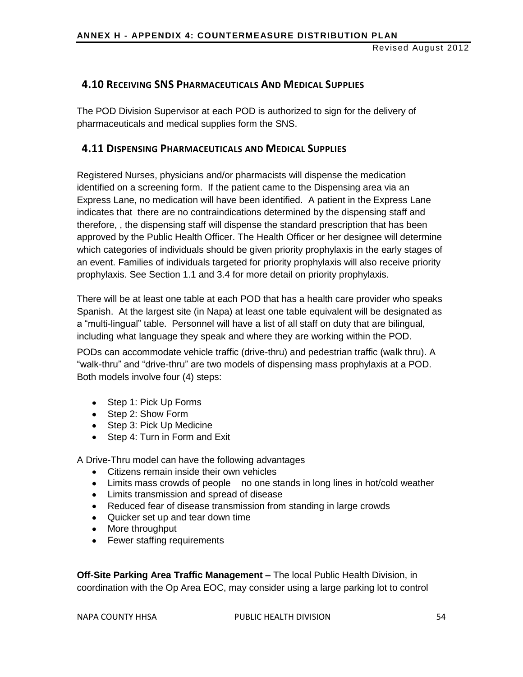#### <span id="page-55-0"></span>**4.10 RECEIVING SNS PHARMACEUTICALS AND MEDICAL SUPPLIES**

The POD Division Supervisor at each POD is authorized to sign for the delivery of pharmaceuticals and medical supplies form the SNS.

#### <span id="page-55-1"></span>**4.11 DISPENSING PHARMACEUTICALS AND MEDICAL SUPPLIES**

Registered Nurses, physicians and/or pharmacists will dispense the medication identified on a screening form. If the patient came to the Dispensing area via an Express Lane, no medication will have been identified. A patient in the Express Lane indicates that there are no contraindications determined by the dispensing staff and therefore, , the dispensing staff will dispense the standard prescription that has been approved by the Public Health Officer. The Health Officer or her designee will determine which categories of individuals should be given priority prophylaxis in the early stages of an event. Families of individuals targeted for priority prophylaxis will also receive priority prophylaxis. See Section 1.1 and 3.4 for more detail on priority prophylaxis.

There will be at least one table at each POD that has a health care provider who speaks Spanish. At the largest site (in Napa) at least one table equivalent will be designated as a "multi-lingual" table. Personnel will have a list of all staff on duty that are bilingual, including what language they speak and where they are working within the POD.

PODs can accommodate vehicle traffic (drive-thru) and pedestrian traffic (walk thru). A "walk-thru" and "drive-thru" are two models of dispensing mass prophylaxis at a POD. Both models involve four (4) steps:

- Step 1: Pick Up Forms
- Step 2: Show Form
- Step 3: Pick Up Medicine
- Step 4: Turn in Form and Exit

A Drive-Thru model can have the following advantages

- Citizens remain inside their own vehicles
- Limits mass crowds of people no one stands in long lines in hot/cold weather
- Limits transmission and spread of disease
- Reduced fear of disease transmission from standing in large crowds
- Quicker set up and tear down time
- More throughput
- Fewer staffing requirements

**Off-Site Parking Area Traffic Management –** The local Public Health Division, in coordination with the Op Area EOC, may consider using a large parking lot to control

NAPA COUNTY HHSA PUBLIC HEALTH DIVISION 54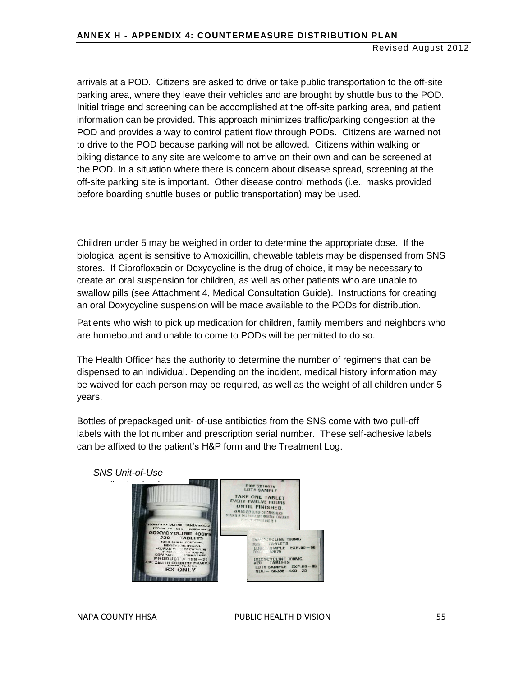arrivals at a POD. Citizens are asked to drive or take public transportation to the off-site parking area, where they leave their vehicles and are brought by shuttle bus to the POD. Initial triage and screening can be accomplished at the off-site parking area, and patient information can be provided. This approach minimizes traffic/parking congestion at the POD and provides a way to control patient flow through PODs. Citizens are warned not to drive to the POD because parking will not be allowed. Citizens within walking or biking distance to any site are welcome to arrive on their own and can be screened at the POD. In a situation where there is concern about disease spread, screening at the off-site parking site is important. Other disease control methods (i.e., masks provided before boarding shuttle buses or public transportation) may be used.

Children under 5 may be weighed in order to determine the appropriate dose. If the biological agent is sensitive to Amoxicillin, chewable tablets may be dispensed from SNS stores. If Ciprofloxacin or Doxycycline is the drug of choice, it may be necessary to create an oral suspension for children, as well as other patients who are unable to swallow pills (see Attachment 4, Medical Consultation Guide). Instructions for creating an oral Doxycycline suspension will be made available to the PODs for distribution.

Patients who wish to pick up medication for children, family members and neighbors who are homebound and unable to come to PODs will be permitted to do so.

The Health Officer has the authority to determine the number of regimens that can be dispensed to an individual. Depending on the incident, medical history information may be waived for each person may be required, as well as the weight of all children under 5 years.

Bottles of prepackaged unit- of-use antibiotics from the SNS come with two pull-off labels with the lot number and prescription serial number. These self-adhesive labels can be affixed to the patient's H&P form and the Treatment Log.

*SNS Unit-of-Use* 

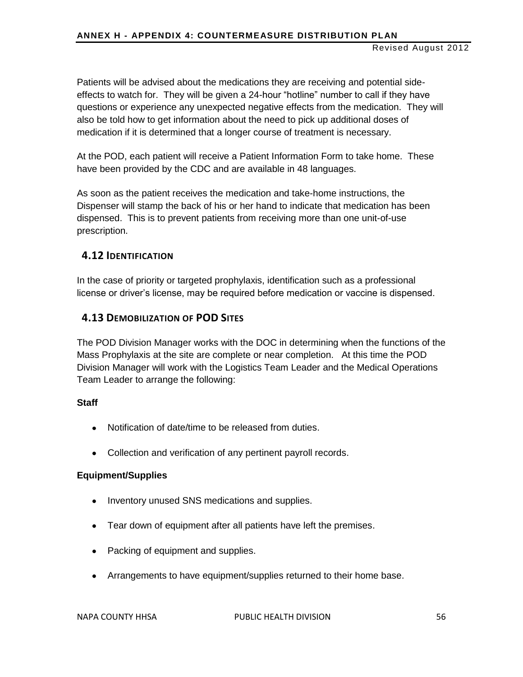Patients will be advised about the medications they are receiving and potential sideeffects to watch for. They will be given a 24-hour "hotline" number to call if they have questions or experience any unexpected negative effects from the medication. They will also be told how to get information about the need to pick up additional doses of medication if it is determined that a longer course of treatment is necessary.

At the POD, each patient will receive a Patient Information Form to take home. These have been provided by the CDC and are available in 48 languages.

As soon as the patient receives the medication and take-home instructions, the Dispenser will stamp the back of his or her hand to indicate that medication has been dispensed. This is to prevent patients from receiving more than one unit-of-use prescription.

#### <span id="page-57-0"></span>**4.12 IDENTIFICATION**

In the case of priority or targeted prophylaxis, identification such as a professional license or driver's license, may be required before medication or vaccine is dispensed.

#### <span id="page-57-1"></span>**4.13 DEMOBILIZATION OF POD SITES**

The POD Division Manager works with the DOC in determining when the functions of the Mass Prophylaxis at the site are complete or near completion. At this time the POD Division Manager will work with the Logistics Team Leader and the Medical Operations Team Leader to arrange the following:

#### **Staff**

- Notification of date/time to be released from duties.
- Collection and verification of any pertinent payroll records.

#### **Equipment/Supplies**

- Inventory unused SNS medications and supplies.
- Tear down of equipment after all patients have left the premises.
- Packing of equipment and supplies.
- Arrangements to have equipment/supplies returned to their home base.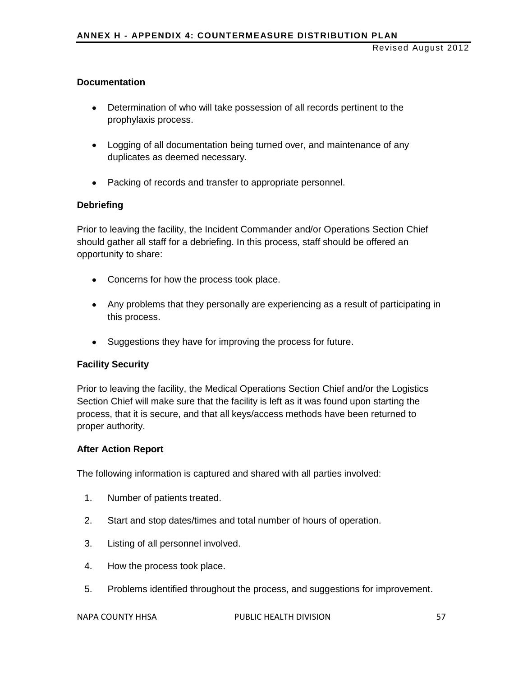#### **Documentation**

- Determination of who will take possession of all records pertinent to the prophylaxis process.
- Logging of all documentation being turned over, and maintenance of any duplicates as deemed necessary.
- Packing of records and transfer to appropriate personnel.

#### **Debriefing**

Prior to leaving the facility, the Incident Commander and/or Operations Section Chief should gather all staff for a debriefing. In this process, staff should be offered an opportunity to share:

- Concerns for how the process took place.
- Any problems that they personally are experiencing as a result of participating in this process.
- Suggestions they have for improving the process for future.

#### **Facility Security**

Prior to leaving the facility, the Medical Operations Section Chief and/or the Logistics Section Chief will make sure that the facility is left as it was found upon starting the process, that it is secure, and that all keys/access methods have been returned to proper authority.

#### **After Action Report**

The following information is captured and shared with all parties involved:

- 1. Number of patients treated.
- 2. Start and stop dates/times and total number of hours of operation.
- 3. Listing of all personnel involved.
- 4. How the process took place.
- 5. Problems identified throughout the process, and suggestions for improvement.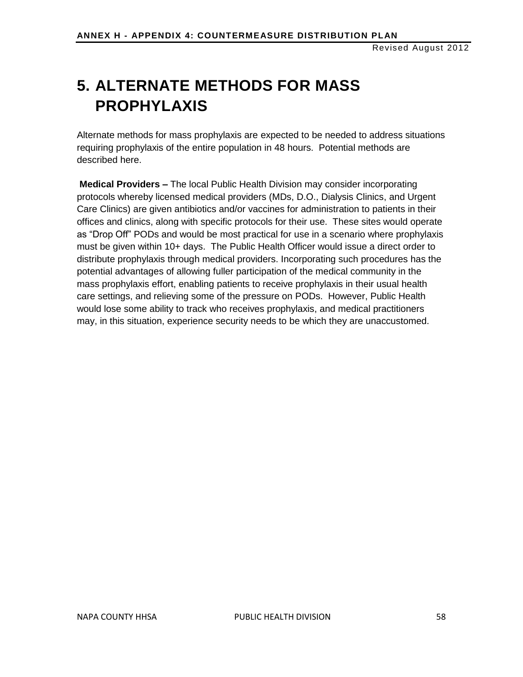# <span id="page-59-0"></span>**5. ALTERNATE METHODS FOR MASS PROPHYLAXIS**

Alternate methods for mass prophylaxis are expected to be needed to address situations requiring prophylaxis of the entire population in 48 hours. Potential methods are described here.

**Medical Providers –** The local Public Health Division may consider incorporating protocols whereby licensed medical providers (MDs, D.O., Dialysis Clinics, and Urgent Care Clinics) are given antibiotics and/or vaccines for administration to patients in their offices and clinics, along with specific protocols for their use. These sites would operate as "Drop Off" PODs and would be most practical for use in a scenario where prophylaxis must be given within 10+ days. The Public Health Officer would issue a direct order to distribute prophylaxis through medical providers. Incorporating such procedures has the potential advantages of allowing fuller participation of the medical community in the mass prophylaxis effort, enabling patients to receive prophylaxis in their usual health care settings, and relieving some of the pressure on PODs. However, Public Health would lose some ability to track who receives prophylaxis, and medical practitioners may, in this situation, experience security needs to be which they are unaccustomed.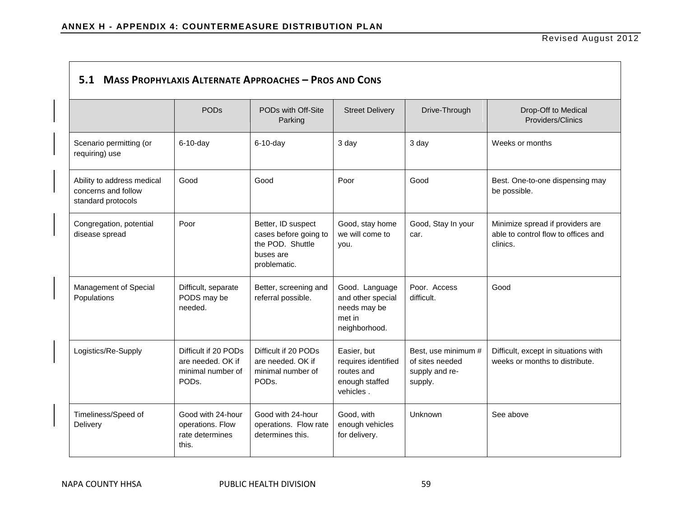<span id="page-60-0"></span>

| 5.1 MASS PROPHYLAXIS ALTERNATE APPROACHES - PROS AND CONS               |                                                                                      |                                                                                              |                                                                                 |                                                                     |                                                                                     |
|-------------------------------------------------------------------------|--------------------------------------------------------------------------------------|----------------------------------------------------------------------------------------------|---------------------------------------------------------------------------------|---------------------------------------------------------------------|-------------------------------------------------------------------------------------|
|                                                                         | PODs                                                                                 | PODs with Off-Site<br>Parking                                                                | <b>Street Delivery</b>                                                          | Drive-Through                                                       | Drop-Off to Medical<br>Providers/Clinics                                            |
| Scenario permitting (or<br>requiring) use                               | $6-10$ -day                                                                          | $6-10$ -day                                                                                  | 3 day                                                                           | 3 day                                                               | Weeks or months                                                                     |
| Ability to address medical<br>concerns and follow<br>standard protocols | Good                                                                                 | Good                                                                                         | Poor                                                                            | Good                                                                | Best. One-to-one dispensing may<br>be possible.                                     |
| Congregation, potential<br>disease spread                               | Poor                                                                                 | Better, ID suspect<br>cases before going to<br>the POD. Shuttle<br>buses are<br>problematic. | Good, stay home<br>we will come to<br>you.                                      | Good, Stay In your<br>car.                                          | Minimize spread if providers are<br>able to control flow to offices and<br>clinics. |
| Management of Special<br>Populations                                    | Difficult, separate<br>PODS may be<br>needed.                                        | Better, screening and<br>referral possible.                                                  | Good. Language<br>and other special<br>needs may be<br>met in<br>neighborhood.  | Poor. Access<br>difficult.                                          | Good                                                                                |
| Logistics/Re-Supply                                                     | Difficult if 20 PODs<br>are needed. OK if<br>minimal number of<br>POD <sub>s</sub> . | Difficult if 20 PODs<br>are needed. OK if<br>minimal number of<br>POD <sub>s</sub> .         | Easier, but<br>requires identified<br>routes and<br>enough staffed<br>vehicles. | Best. use minimum #<br>of sites needed<br>supply and re-<br>supply. | Difficult, except in situations with<br>weeks or months to distribute.              |
| Timeliness/Speed of<br>Delivery                                         | Good with 24-hour<br>operations. Flow<br>rate determines<br>this.                    | Good with 24-hour<br>operations. Flow rate<br>determines this.                               | Good, with<br>enough vehicles<br>for delivery.                                  | Unknown                                                             | See above                                                                           |

 $\blacksquare$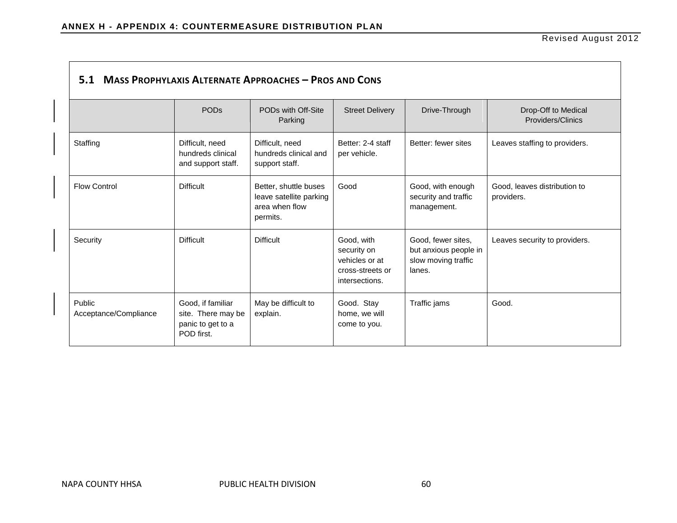| <b>MASS PROPHYLAXIS ALTERNATE APPROACHES - PROS AND CONS</b><br>5.1 |                                                                            |                                                                                |                                                                                   |                                                                              |                                            |
|---------------------------------------------------------------------|----------------------------------------------------------------------------|--------------------------------------------------------------------------------|-----------------------------------------------------------------------------------|------------------------------------------------------------------------------|--------------------------------------------|
|                                                                     | <b>PODs</b>                                                                | PODs with Off-Site<br>Parking                                                  | <b>Street Delivery</b>                                                            | Drive-Through                                                                | Drop-Off to Medical<br>Providers/Clinics   |
| Staffing                                                            | Difficult, need<br>hundreds clinical<br>and support staff.                 | Difficult, need<br>hundreds clinical and<br>support staff.                     | Better: 2-4 staff<br>per vehicle.                                                 | Better: fewer sites                                                          | Leaves staffing to providers.              |
| <b>Flow Control</b>                                                 | <b>Difficult</b>                                                           | Better, shuttle buses<br>leave satellite parking<br>area when flow<br>permits. | Good                                                                              | Good, with enough<br>security and traffic<br>management.                     | Good, leaves distribution to<br>providers. |
| Security                                                            | <b>Difficult</b>                                                           | <b>Difficult</b>                                                               | Good, with<br>security on<br>vehicles or at<br>cross-streets or<br>intersections. | Good, fewer sites,<br>but anxious people in<br>slow moving traffic<br>lanes. | Leaves security to providers.              |
| Public<br>Acceptance/Compliance                                     | Good, if familiar<br>site. There may be<br>panic to get to a<br>POD first. | May be difficult to<br>explain.                                                | Good. Stay<br>home, we will<br>come to you.                                       | Traffic jams                                                                 | Good.                                      |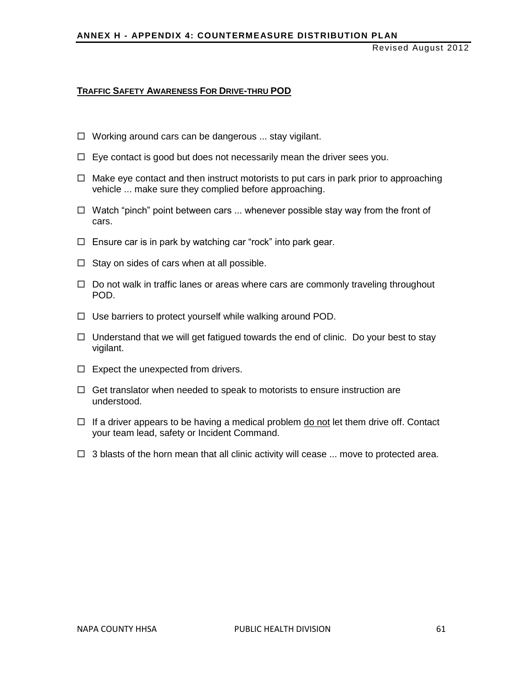#### **TRAFFIC SAFETY AWARENESS FOR DRIVE-THRU POD**

- $\Box$  Working around cars can be dangerous ... stay vigilant.
- $\Box$  Eye contact is good but does not necessarily mean the driver sees you.
- $\Box$  Make eye contact and then instruct motorists to put cars in park prior to approaching vehicle ... make sure they complied before approaching.
- $\Box$  Watch "pinch" point between cars ... whenever possible stay way from the front of cars.
- $\Box$  Ensure car is in park by watching car "rock" into park gear.
- $\Box$  Stay on sides of cars when at all possible.
- $\Box$  Do not walk in traffic lanes or areas where cars are commonly traveling throughout POD.
- $\Box$  Use barriers to protect vourself while walking around POD.
- $\Box$  Understand that we will get fatigued towards the end of clinic. Do your best to stay vigilant.
- $\Box$  Expect the unexpected from drivers.
- $\Box$  Get translator when needed to speak to motorists to ensure instruction are understood.
- $\Box$  If a driver appears to be having a medical problem do not let them drive off. Contact your team lead, safety or Incident Command.
- $\Box$  3 blasts of the horn mean that all clinic activity will cease ... move to protected area.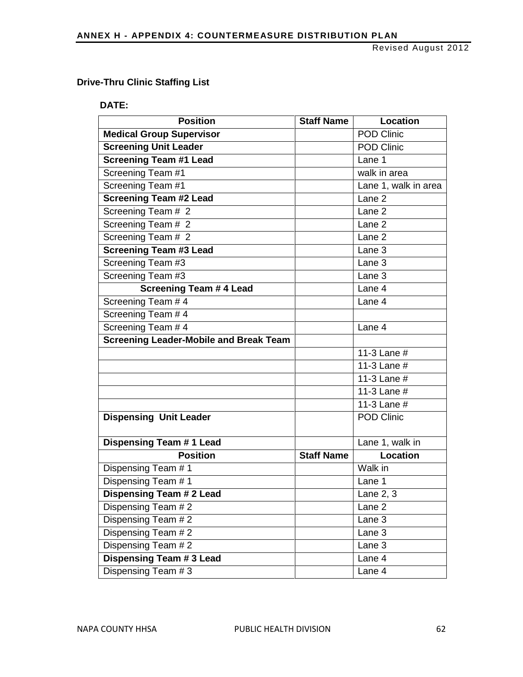**Drive-Thru Clinic Staffing List**

**DATE:**

| <b>Position</b>                               | <b>Staff Name</b> | Location                  |
|-----------------------------------------------|-------------------|---------------------------|
| <b>Medical Group Supervisor</b>               |                   | <b>POD Clinic</b>         |
| <b>Screening Unit Leader</b>                  |                   | <b>POD Clinic</b>         |
| <b>Screening Team #1 Lead</b>                 |                   | Lane 1                    |
| Screening Team #1                             |                   | walk in area              |
| Screening Team #1                             |                   | Lane 1, walk in area      |
| <b>Screening Team #2 Lead</b>                 |                   | Lane <sub>2</sub>         |
| Screening Team # 2                            |                   | Lane <sub>2</sub>         |
| Screening Team # 2                            |                   | Lane 2                    |
| Screening Team # 2                            |                   | Lane <sub>2</sub>         |
| <b>Screening Team #3 Lead</b>                 |                   | Lane 3                    |
| Screening Team #3                             |                   | Lane 3                    |
| Screening Team #3                             |                   | Lane 3                    |
| <b>Screening Team # 4 Lead</b>                |                   | Lane 4                    |
| Screening Team # 4                            |                   | Lane 4                    |
| Screening Team # 4                            |                   |                           |
| Screening Team # 4                            |                   | Lane 4                    |
| <b>Screening Leader-Mobile and Break Team</b> |                   |                           |
|                                               |                   | 11-3 Lane #               |
|                                               |                   | 11-3 Lane #               |
|                                               |                   | $\overline{11}$ -3 Lane # |
|                                               |                   | 11-3 Lane $#$             |
|                                               |                   | 11-3 Lane #               |
| <b>Dispensing Unit Leader</b>                 |                   | <b>POD Clinic</b>         |
|                                               |                   |                           |
| <b>Dispensing Team #1 Lead</b>                |                   | Lane 1, walk in           |
| <b>Position</b>                               | <b>Staff Name</b> | Location                  |
| Dispensing Team #1                            |                   | Walk in                   |
| Dispensing Team #1                            |                   | Lane 1                    |
| <b>Dispensing Team # 2 Lead</b>               |                   | Lane 2, 3                 |
| Dispensing Team # 2                           |                   | Lane 2                    |
| Dispensing Team #2                            |                   | Lane 3                    |
| Dispensing Team #2                            |                   | Lane 3                    |
| Dispensing Team # 2                           |                   | Lane 3                    |
| <b>Dispensing Team #3 Lead</b>                |                   | Lane 4                    |
| Dispensing Team #3                            |                   | Lane 4                    |